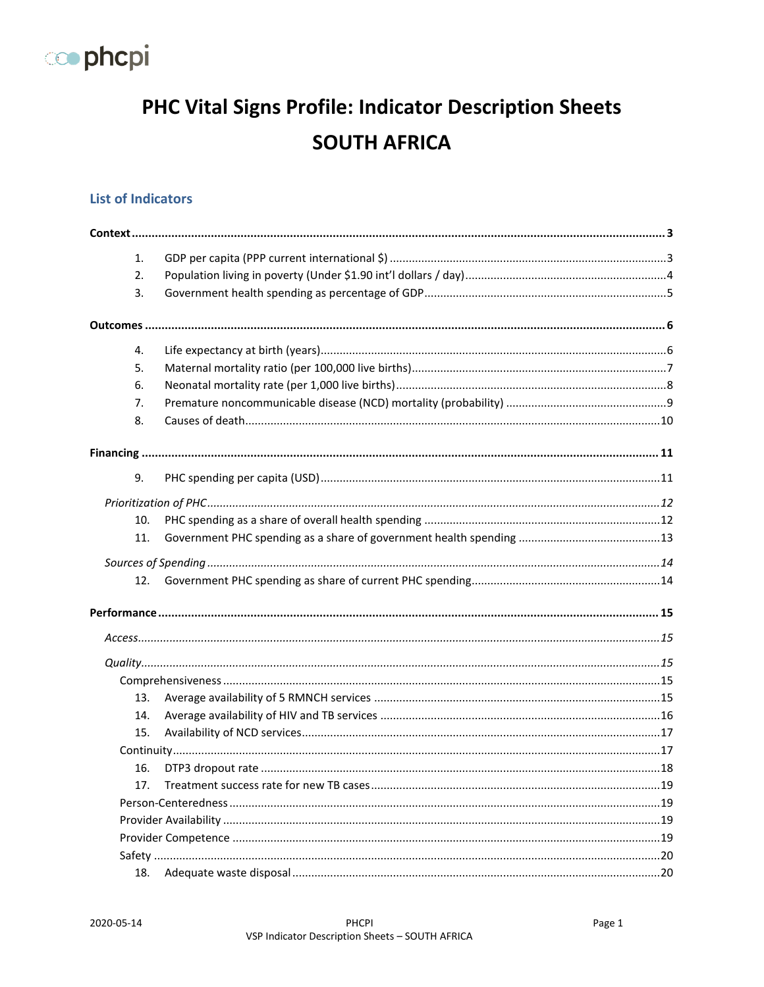

# PHC Vital Signs Profile: Indicator Description Sheets **SOUTH AFRICA**

### **List of Indicators**

| 1.  |  |
|-----|--|
| 2.  |  |
| 3.  |  |
|     |  |
| 4.  |  |
| 5.  |  |
| 6.  |  |
| 7.  |  |
| 8.  |  |
|     |  |
| 9.  |  |
|     |  |
| 10. |  |
| 11. |  |
|     |  |
| 12. |  |
|     |  |
|     |  |
|     |  |
|     |  |
| 13. |  |
| 14. |  |
| 15. |  |
|     |  |
| 16. |  |
|     |  |
|     |  |
|     |  |
|     |  |
|     |  |
| 18. |  |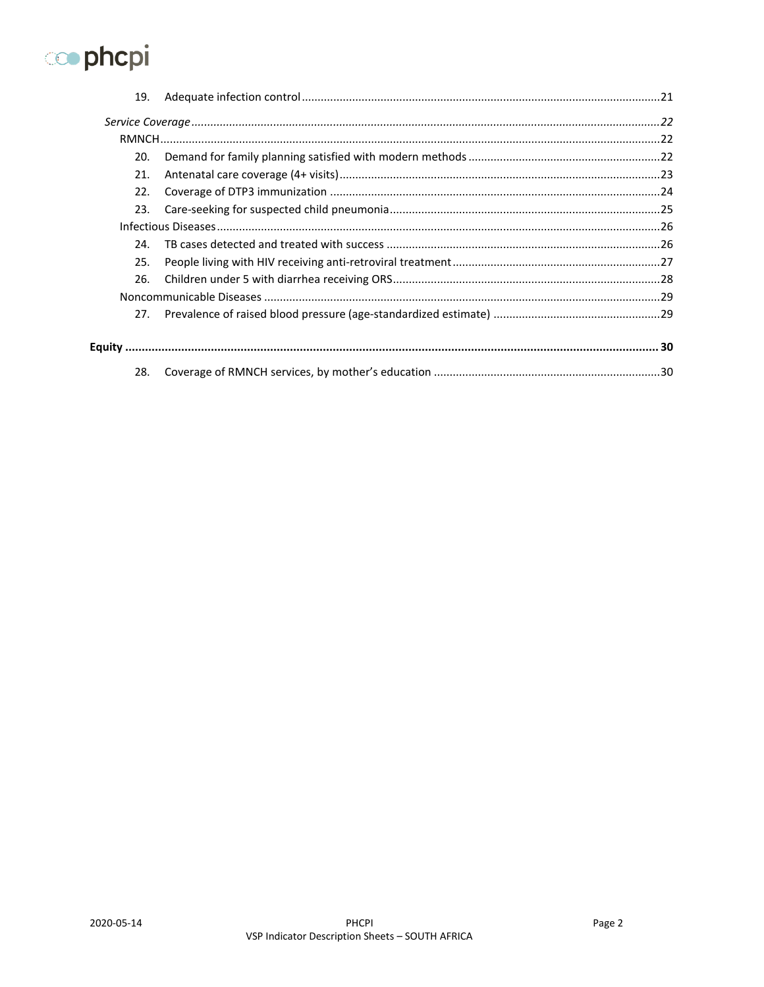

| 19. |  |
|-----|--|
|     |  |
|     |  |
| 20. |  |
| 21. |  |
| 22. |  |
| 23. |  |
|     |  |
| 24. |  |
| 25. |  |
| 26. |  |
|     |  |
| 27. |  |
|     |  |
| 28. |  |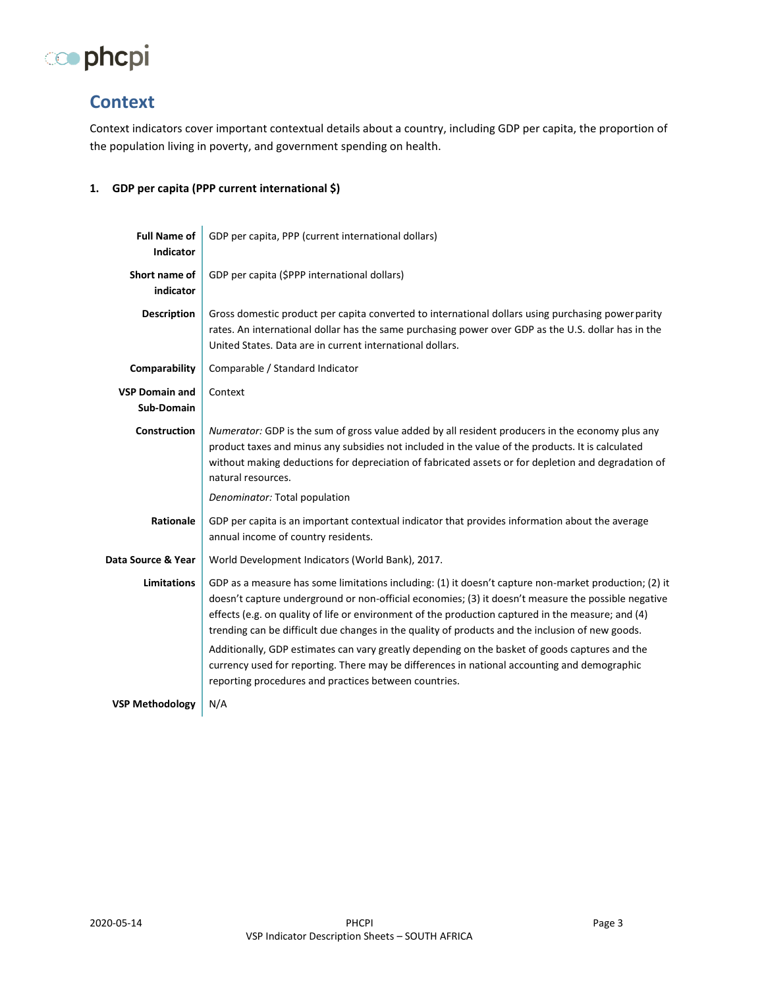

## <span id="page-2-0"></span>**Context**

Context indicators cover important contextual details about a country, including GDP per capita, the proportion of the population living in poverty, and government spending on health.

#### <span id="page-2-1"></span>**1. GDP per capita (PPP current international \$)**

| <b>Full Name of</b><br><b>Indicator</b>    | GDP per capita, PPP (current international dollars)                                                                                                                                                                                                                                                                                                                                                                    |
|--------------------------------------------|------------------------------------------------------------------------------------------------------------------------------------------------------------------------------------------------------------------------------------------------------------------------------------------------------------------------------------------------------------------------------------------------------------------------|
| Short name of<br>indicator                 | GDP per capita (\$PPP international dollars)                                                                                                                                                                                                                                                                                                                                                                           |
| <b>Description</b>                         | Gross domestic product per capita converted to international dollars using purchasing power parity<br>rates. An international dollar has the same purchasing power over GDP as the U.S. dollar has in the<br>United States. Data are in current international dollars.                                                                                                                                                 |
| Comparability                              | Comparable / Standard Indicator                                                                                                                                                                                                                                                                                                                                                                                        |
| <b>VSP Domain and</b><br><b>Sub-Domain</b> | Context                                                                                                                                                                                                                                                                                                                                                                                                                |
| <b>Construction</b>                        | Numerator: GDP is the sum of gross value added by all resident producers in the economy plus any<br>product taxes and minus any subsidies not included in the value of the products. It is calculated<br>without making deductions for depreciation of fabricated assets or for depletion and degradation of<br>natural resources.                                                                                     |
|                                            | Denominator: Total population                                                                                                                                                                                                                                                                                                                                                                                          |
| Rationale                                  | GDP per capita is an important contextual indicator that provides information about the average<br>annual income of country residents.                                                                                                                                                                                                                                                                                 |
| Data Source & Year                         | World Development Indicators (World Bank), 2017.                                                                                                                                                                                                                                                                                                                                                                       |
| <b>Limitations</b>                         | GDP as a measure has some limitations including: (1) it doesn't capture non-market production; (2) it<br>doesn't capture underground or non-official economies; (3) it doesn't measure the possible negative<br>effects (e.g. on quality of life or environment of the production captured in the measure; and (4)<br>trending can be difficult due changes in the quality of products and the inclusion of new goods. |
|                                            | Additionally, GDP estimates can vary greatly depending on the basket of goods captures and the<br>currency used for reporting. There may be differences in national accounting and demographic<br>reporting procedures and practices between countries.                                                                                                                                                                |
| <b>VSP Methodology</b>                     | N/A                                                                                                                                                                                                                                                                                                                                                                                                                    |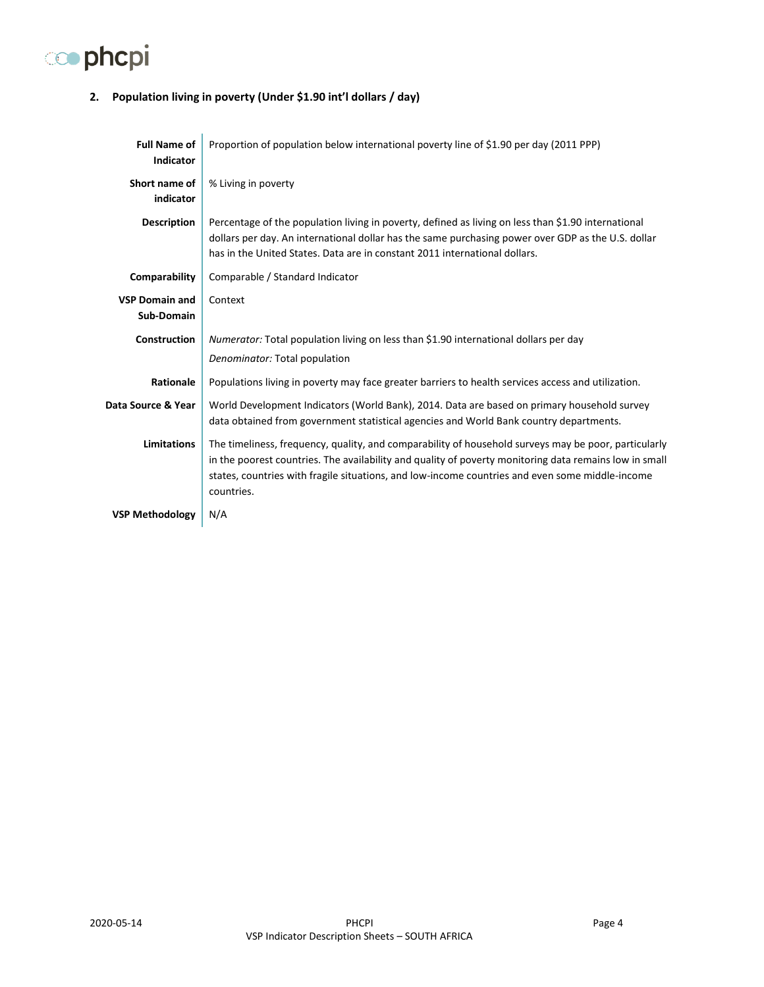

### <span id="page-3-0"></span>**2. Population living in poverty (Under \$1.90 int'l dollars / day)**

| <b>Full Name of</b><br><b>Indicator</b> | Proportion of population below international poverty line of \$1.90 per day (2011 PPP)                                                                                                                                                                                                                                          |
|-----------------------------------------|---------------------------------------------------------------------------------------------------------------------------------------------------------------------------------------------------------------------------------------------------------------------------------------------------------------------------------|
| Short name of<br>indicator              | % Living in poverty                                                                                                                                                                                                                                                                                                             |
| <b>Description</b>                      | Percentage of the population living in poverty, defined as living on less than \$1.90 international<br>dollars per day. An international dollar has the same purchasing power over GDP as the U.S. dollar<br>has in the United States. Data are in constant 2011 international dollars.                                         |
| Comparability                           | Comparable / Standard Indicator                                                                                                                                                                                                                                                                                                 |
| <b>VSP Domain and</b><br>Sub-Domain     | Context                                                                                                                                                                                                                                                                                                                         |
| <b>Construction</b>                     | Numerator: Total population living on less than \$1.90 international dollars per day<br>Denominator: Total population                                                                                                                                                                                                           |
| Rationale                               | Populations living in poverty may face greater barriers to health services access and utilization.                                                                                                                                                                                                                              |
| Data Source & Year                      | World Development Indicators (World Bank), 2014. Data are based on primary household survey<br>data obtained from government statistical agencies and World Bank country departments.                                                                                                                                           |
| <b>Limitations</b>                      | The timeliness, frequency, quality, and comparability of household surveys may be poor, particularly<br>in the poorest countries. The availability and quality of poverty monitoring data remains low in small<br>states, countries with fragile situations, and low-income countries and even some middle-income<br>countries. |
| <b>VSP Methodology</b>                  | N/A                                                                                                                                                                                                                                                                                                                             |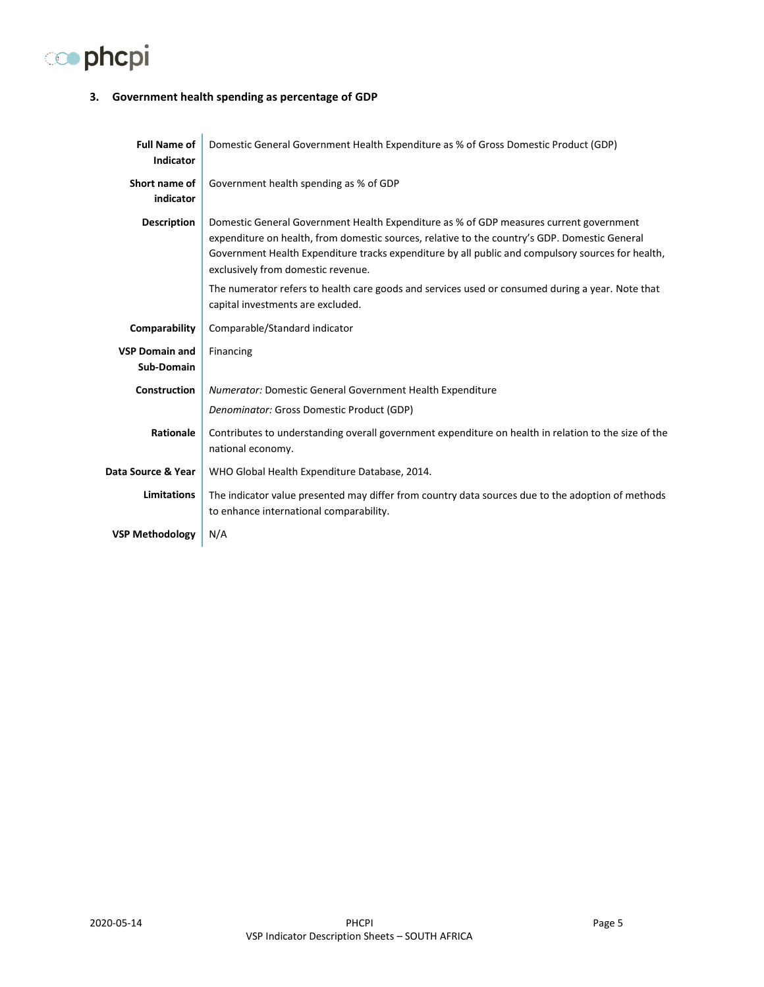# co phcpi

#### <span id="page-4-0"></span>**3. Government health spending as percentage of GDP**

| <b>Full Name of</b><br><b>Indicator</b> | Domestic General Government Health Expenditure as % of Gross Domestic Product (GDP)                                                                                                                                                                                                                                                |
|-----------------------------------------|------------------------------------------------------------------------------------------------------------------------------------------------------------------------------------------------------------------------------------------------------------------------------------------------------------------------------------|
| Short name of<br>indicator              | Government health spending as % of GDP                                                                                                                                                                                                                                                                                             |
| <b>Description</b>                      | Domestic General Government Health Expenditure as % of GDP measures current government<br>expenditure on health, from domestic sources, relative to the country's GDP. Domestic General<br>Government Health Expenditure tracks expenditure by all public and compulsory sources for health,<br>exclusively from domestic revenue. |
|                                         | The numerator refers to health care goods and services used or consumed during a year. Note that<br>capital investments are excluded.                                                                                                                                                                                              |
| Comparability                           | Comparable/Standard indicator                                                                                                                                                                                                                                                                                                      |
| <b>VSP Domain and</b><br>Sub-Domain     | Financing                                                                                                                                                                                                                                                                                                                          |
| Construction                            | <b>Numerator: Domestic General Government Health Expenditure</b>                                                                                                                                                                                                                                                                   |
|                                         | Denominator: Gross Domestic Product (GDP)                                                                                                                                                                                                                                                                                          |
| Rationale                               | Contributes to understanding overall government expenditure on health in relation to the size of the<br>national economy.                                                                                                                                                                                                          |
| Data Source & Year                      | WHO Global Health Expenditure Database, 2014.                                                                                                                                                                                                                                                                                      |
| <b>Limitations</b>                      | The indicator value presented may differ from country data sources due to the adoption of methods<br>to enhance international comparability.                                                                                                                                                                                       |
| <b>VSP Methodology</b>                  | N/A                                                                                                                                                                                                                                                                                                                                |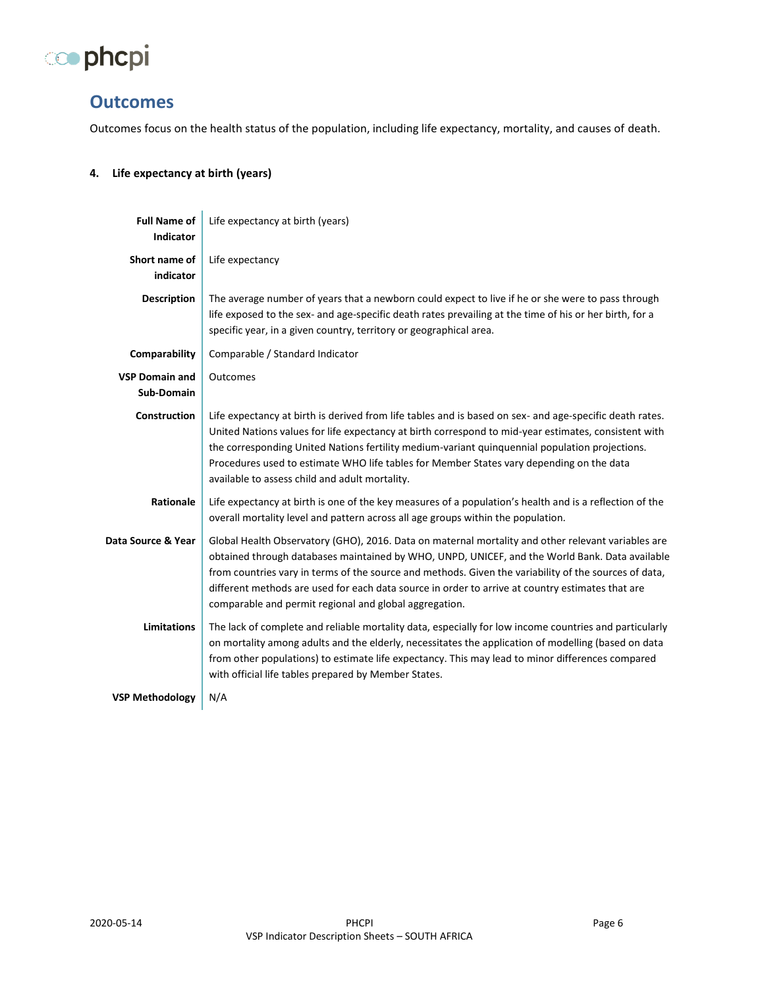

## <span id="page-5-0"></span>**Outcomes**

Outcomes focus on the health status of the population, including life expectancy, mortality, and causes of death.

#### <span id="page-5-1"></span>**4. Life expectancy at birth (years)**

| <b>Full Name of</b><br><b>Indicator</b> | Life expectancy at birth (years)                                                                                                                                                                                                                                                                                                                                                                                                                                            |
|-----------------------------------------|-----------------------------------------------------------------------------------------------------------------------------------------------------------------------------------------------------------------------------------------------------------------------------------------------------------------------------------------------------------------------------------------------------------------------------------------------------------------------------|
| Short name of<br>indicator              | Life expectancy                                                                                                                                                                                                                                                                                                                                                                                                                                                             |
| <b>Description</b>                      | The average number of years that a newborn could expect to live if he or she were to pass through<br>life exposed to the sex- and age-specific death rates prevailing at the time of his or her birth, for a<br>specific year, in a given country, territory or geographical area.                                                                                                                                                                                          |
| Comparability                           | Comparable / Standard Indicator                                                                                                                                                                                                                                                                                                                                                                                                                                             |
| <b>VSP Domain and</b><br>Sub-Domain     | Outcomes                                                                                                                                                                                                                                                                                                                                                                                                                                                                    |
| <b>Construction</b>                     | Life expectancy at birth is derived from life tables and is based on sex- and age-specific death rates.<br>United Nations values for life expectancy at birth correspond to mid-year estimates, consistent with<br>the corresponding United Nations fertility medium-variant quinquennial population projections.<br>Procedures used to estimate WHO life tables for Member States vary depending on the data<br>available to assess child and adult mortality.             |
| Rationale                               | Life expectancy at birth is one of the key measures of a population's health and is a reflection of the<br>overall mortality level and pattern across all age groups within the population.                                                                                                                                                                                                                                                                                 |
| Data Source & Year                      | Global Health Observatory (GHO), 2016. Data on maternal mortality and other relevant variables are<br>obtained through databases maintained by WHO, UNPD, UNICEF, and the World Bank. Data available<br>from countries vary in terms of the source and methods. Given the variability of the sources of data,<br>different methods are used for each data source in order to arrive at country estimates that are<br>comparable and permit regional and global aggregation. |
| <b>Limitations</b>                      | The lack of complete and reliable mortality data, especially for low income countries and particularly<br>on mortality among adults and the elderly, necessitates the application of modelling (based on data<br>from other populations) to estimate life expectancy. This may lead to minor differences compared<br>with official life tables prepared by Member States.                                                                                                   |
| <b>VSP Methodology</b>                  | N/A                                                                                                                                                                                                                                                                                                                                                                                                                                                                         |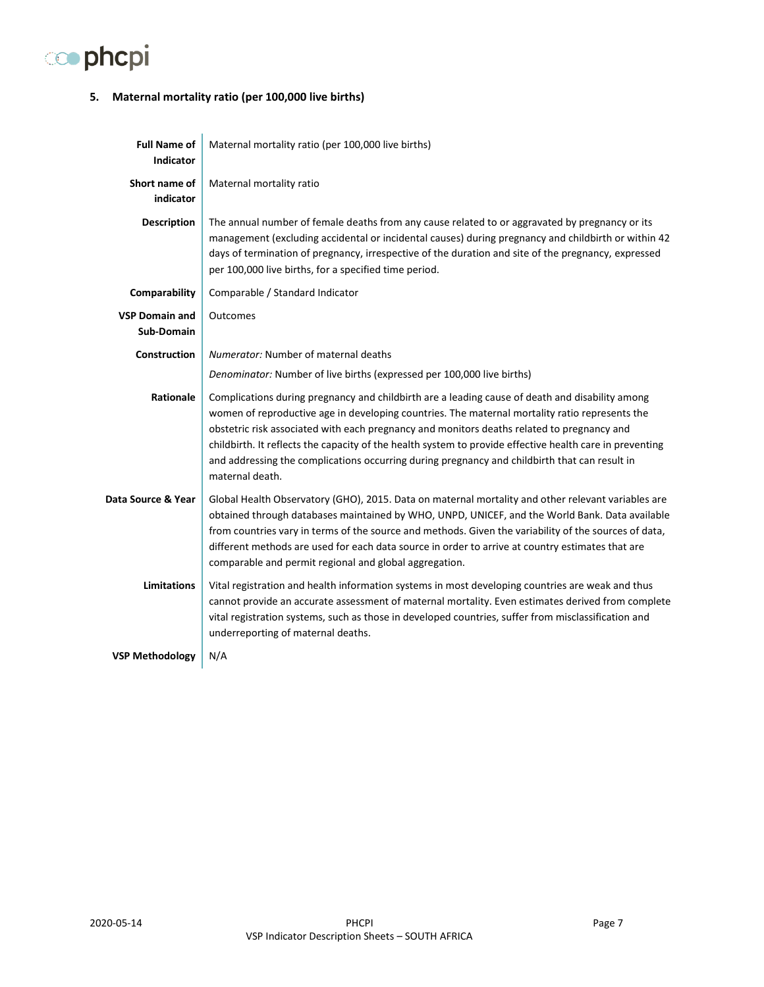# co phcpi

### <span id="page-6-0"></span>**5. Maternal mortality ratio (per 100,000 live births)**

| <b>Full Name of</b><br><b>Indicator</b>    | Maternal mortality ratio (per 100,000 live births)                                                                                                                                                                                                                                                                                                                                                                                                                                                                              |
|--------------------------------------------|---------------------------------------------------------------------------------------------------------------------------------------------------------------------------------------------------------------------------------------------------------------------------------------------------------------------------------------------------------------------------------------------------------------------------------------------------------------------------------------------------------------------------------|
| Short name of<br>indicator                 | Maternal mortality ratio                                                                                                                                                                                                                                                                                                                                                                                                                                                                                                        |
| <b>Description</b>                         | The annual number of female deaths from any cause related to or aggravated by pregnancy or its<br>management (excluding accidental or incidental causes) during pregnancy and childbirth or within 42<br>days of termination of pregnancy, irrespective of the duration and site of the pregnancy, expressed<br>per 100,000 live births, for a specified time period.                                                                                                                                                           |
| Comparability                              | Comparable / Standard Indicator                                                                                                                                                                                                                                                                                                                                                                                                                                                                                                 |
| <b>VSP Domain and</b><br><b>Sub-Domain</b> | Outcomes                                                                                                                                                                                                                                                                                                                                                                                                                                                                                                                        |
| Construction                               | Numerator: Number of maternal deaths                                                                                                                                                                                                                                                                                                                                                                                                                                                                                            |
|                                            | Denominator: Number of live births (expressed per 100,000 live births)                                                                                                                                                                                                                                                                                                                                                                                                                                                          |
| Rationale                                  | Complications during pregnancy and childbirth are a leading cause of death and disability among<br>women of reproductive age in developing countries. The maternal mortality ratio represents the<br>obstetric risk associated with each pregnancy and monitors deaths related to pregnancy and<br>childbirth. It reflects the capacity of the health system to provide effective health care in preventing<br>and addressing the complications occurring during pregnancy and childbirth that can result in<br>maternal death. |
| Data Source & Year                         | Global Health Observatory (GHO), 2015. Data on maternal mortality and other relevant variables are<br>obtained through databases maintained by WHO, UNPD, UNICEF, and the World Bank. Data available<br>from countries vary in terms of the source and methods. Given the variability of the sources of data,<br>different methods are used for each data source in order to arrive at country estimates that are<br>comparable and permit regional and global aggregation.                                                     |
| <b>Limitations</b>                         | Vital registration and health information systems in most developing countries are weak and thus<br>cannot provide an accurate assessment of maternal mortality. Even estimates derived from complete<br>vital registration systems, such as those in developed countries, suffer from misclassification and<br>underreporting of maternal deaths.                                                                                                                                                                              |
| <b>VSP Methodology</b>                     | N/A                                                                                                                                                                                                                                                                                                                                                                                                                                                                                                                             |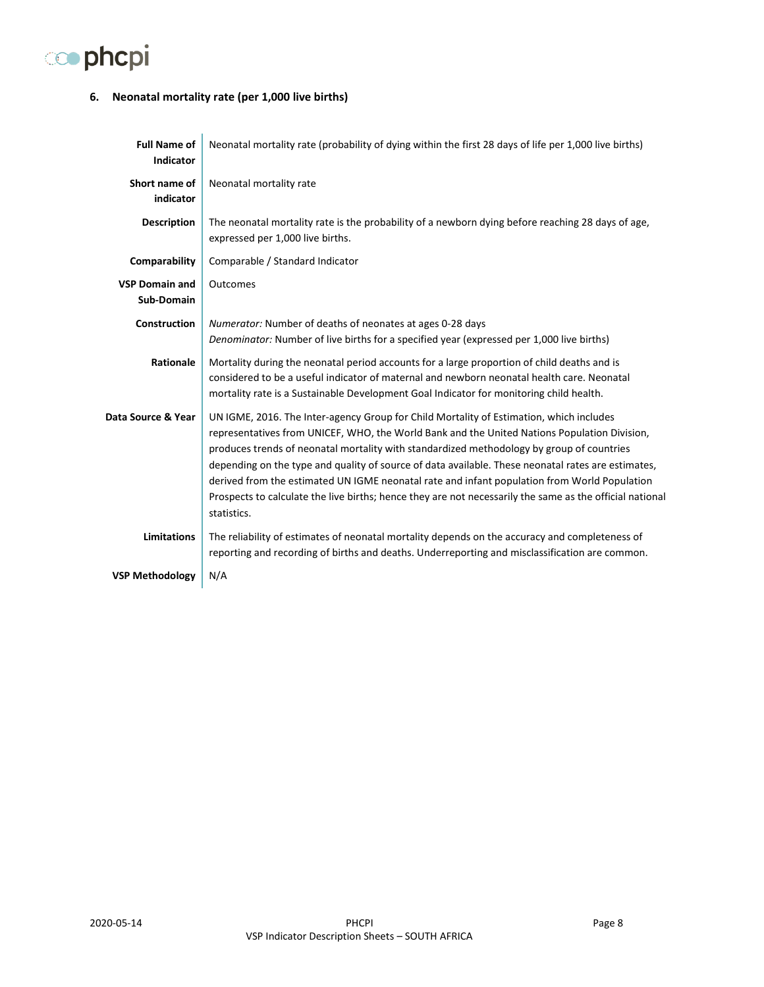

#### <span id="page-7-0"></span>**6. Neonatal mortality rate (per 1,000 live births)**

| <b>Full Name of</b><br><b>Indicator</b> | Neonatal mortality rate (probability of dying within the first 28 days of life per 1,000 live births)                                                                                                                                                                                                                                                                                                                                                                                                                                                                                                                 |
|-----------------------------------------|-----------------------------------------------------------------------------------------------------------------------------------------------------------------------------------------------------------------------------------------------------------------------------------------------------------------------------------------------------------------------------------------------------------------------------------------------------------------------------------------------------------------------------------------------------------------------------------------------------------------------|
| Short name of<br>indicator              | Neonatal mortality rate                                                                                                                                                                                                                                                                                                                                                                                                                                                                                                                                                                                               |
| <b>Description</b>                      | The neonatal mortality rate is the probability of a newborn dying before reaching 28 days of age,<br>expressed per 1,000 live births.                                                                                                                                                                                                                                                                                                                                                                                                                                                                                 |
| Comparability                           | Comparable / Standard Indicator                                                                                                                                                                                                                                                                                                                                                                                                                                                                                                                                                                                       |
| <b>VSP Domain and</b><br>Sub-Domain     | Outcomes                                                                                                                                                                                                                                                                                                                                                                                                                                                                                                                                                                                                              |
| Construction                            | Numerator: Number of deaths of neonates at ages 0-28 days<br>Denominator: Number of live births for a specified year (expressed per 1,000 live births)                                                                                                                                                                                                                                                                                                                                                                                                                                                                |
| Rationale                               | Mortality during the neonatal period accounts for a large proportion of child deaths and is<br>considered to be a useful indicator of maternal and newborn neonatal health care. Neonatal<br>mortality rate is a Sustainable Development Goal Indicator for monitoring child health.                                                                                                                                                                                                                                                                                                                                  |
| Data Source & Year                      | UN IGME, 2016. The Inter-agency Group for Child Mortality of Estimation, which includes<br>representatives from UNICEF, WHO, the World Bank and the United Nations Population Division,<br>produces trends of neonatal mortality with standardized methodology by group of countries<br>depending on the type and quality of source of data available. These neonatal rates are estimates,<br>derived from the estimated UN IGME neonatal rate and infant population from World Population<br>Prospects to calculate the live births; hence they are not necessarily the same as the official national<br>statistics. |
| <b>Limitations</b>                      | The reliability of estimates of neonatal mortality depends on the accuracy and completeness of<br>reporting and recording of births and deaths. Underreporting and misclassification are common.                                                                                                                                                                                                                                                                                                                                                                                                                      |
| <b>VSP Methodology</b>                  | N/A                                                                                                                                                                                                                                                                                                                                                                                                                                                                                                                                                                                                                   |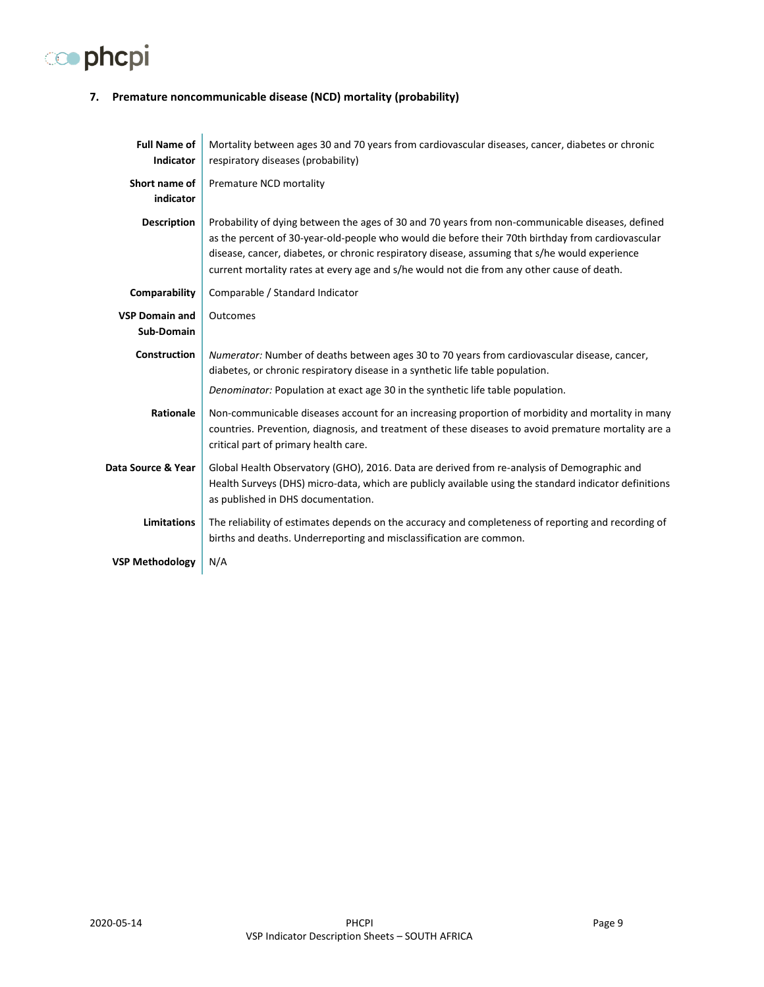# co phcpi

### <span id="page-8-0"></span>**7. Premature noncommunicable disease (NCD) mortality (probability)**

| <b>Full Name of</b><br><b>Indicator</b> | Mortality between ages 30 and 70 years from cardiovascular diseases, cancer, diabetes or chronic<br>respiratory diseases (probability)                                                                                                                                                                                                                                                                |
|-----------------------------------------|-------------------------------------------------------------------------------------------------------------------------------------------------------------------------------------------------------------------------------------------------------------------------------------------------------------------------------------------------------------------------------------------------------|
| Short name of<br>indicator              | Premature NCD mortality                                                                                                                                                                                                                                                                                                                                                                               |
| <b>Description</b>                      | Probability of dying between the ages of 30 and 70 years from non-communicable diseases, defined<br>as the percent of 30-year-old-people who would die before their 70th birthday from cardiovascular<br>disease, cancer, diabetes, or chronic respiratory disease, assuming that s/he would experience<br>current mortality rates at every age and s/he would not die from any other cause of death. |
| Comparability                           | Comparable / Standard Indicator                                                                                                                                                                                                                                                                                                                                                                       |
| <b>VSP Domain and</b><br>Sub-Domain     | Outcomes                                                                                                                                                                                                                                                                                                                                                                                              |
| <b>Construction</b>                     | Numerator: Number of deaths between ages 30 to 70 years from cardiovascular disease, cancer,<br>diabetes, or chronic respiratory disease in a synthetic life table population.                                                                                                                                                                                                                        |
|                                         | Denominator: Population at exact age 30 in the synthetic life table population.                                                                                                                                                                                                                                                                                                                       |
| Rationale                               | Non-communicable diseases account for an increasing proportion of morbidity and mortality in many<br>countries. Prevention, diagnosis, and treatment of these diseases to avoid premature mortality are a<br>critical part of primary health care.                                                                                                                                                    |
| Data Source & Year                      | Global Health Observatory (GHO), 2016. Data are derived from re-analysis of Demographic and<br>Health Surveys (DHS) micro-data, which are publicly available using the standard indicator definitions<br>as published in DHS documentation.                                                                                                                                                           |
| <b>Limitations</b>                      | The reliability of estimates depends on the accuracy and completeness of reporting and recording of<br>births and deaths. Underreporting and misclassification are common.                                                                                                                                                                                                                            |
| <b>VSP Methodology</b>                  | N/A                                                                                                                                                                                                                                                                                                                                                                                                   |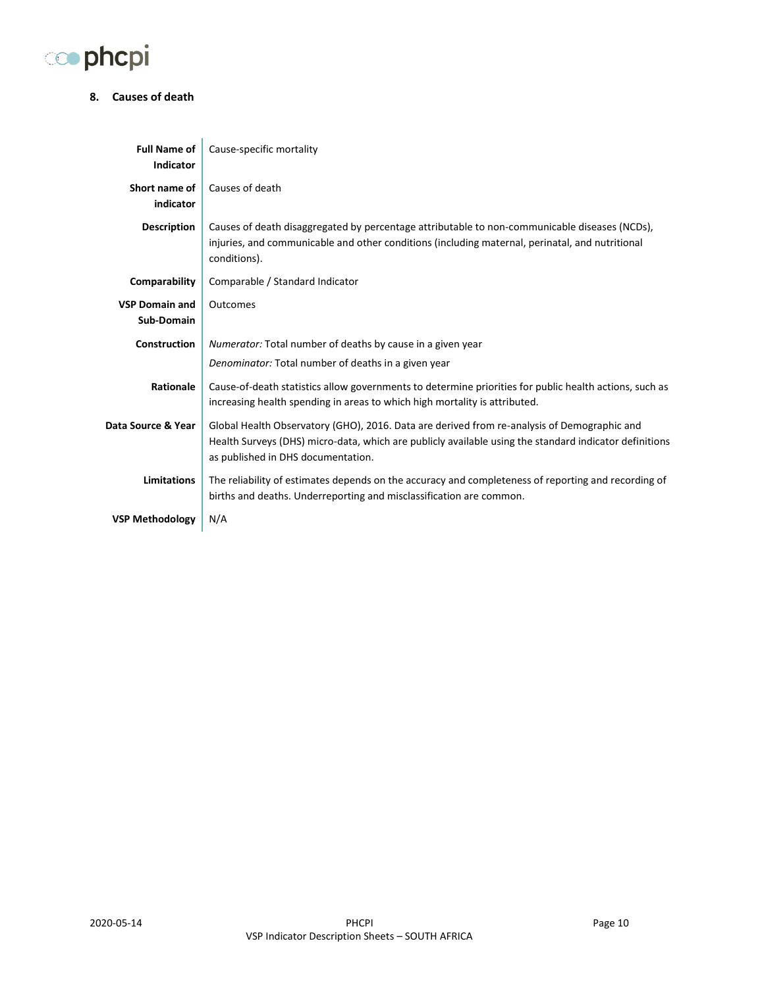

#### <span id="page-9-0"></span>**8. Causes of death**

| <b>Full Name of</b><br><b>Indicator</b> | Cause-specific mortality                                                                                                                                                                                                                    |
|-----------------------------------------|---------------------------------------------------------------------------------------------------------------------------------------------------------------------------------------------------------------------------------------------|
| Short name of<br>indicator              | Causes of death                                                                                                                                                                                                                             |
| <b>Description</b>                      | Causes of death disaggregated by percentage attributable to non-communicable diseases (NCDs),<br>injuries, and communicable and other conditions (including maternal, perinatal, and nutritional<br>conditions).                            |
| Comparability                           | Comparable / Standard Indicator                                                                                                                                                                                                             |
| <b>VSP Domain and</b><br>Sub-Domain     | Outcomes                                                                                                                                                                                                                                    |
| <b>Construction</b>                     | Numerator: Total number of deaths by cause in a given year                                                                                                                                                                                  |
|                                         | Denominator: Total number of deaths in a given year                                                                                                                                                                                         |
| Rationale                               | Cause-of-death statistics allow governments to determine priorities for public health actions, such as<br>increasing health spending in areas to which high mortality is attributed.                                                        |
| Data Source & Year                      | Global Health Observatory (GHO), 2016. Data are derived from re-analysis of Demographic and<br>Health Surveys (DHS) micro-data, which are publicly available using the standard indicator definitions<br>as published in DHS documentation. |
| <b>Limitations</b>                      | The reliability of estimates depends on the accuracy and completeness of reporting and recording of<br>births and deaths. Underreporting and misclassification are common.                                                                  |
| <b>VSP Methodology</b>                  | N/A                                                                                                                                                                                                                                         |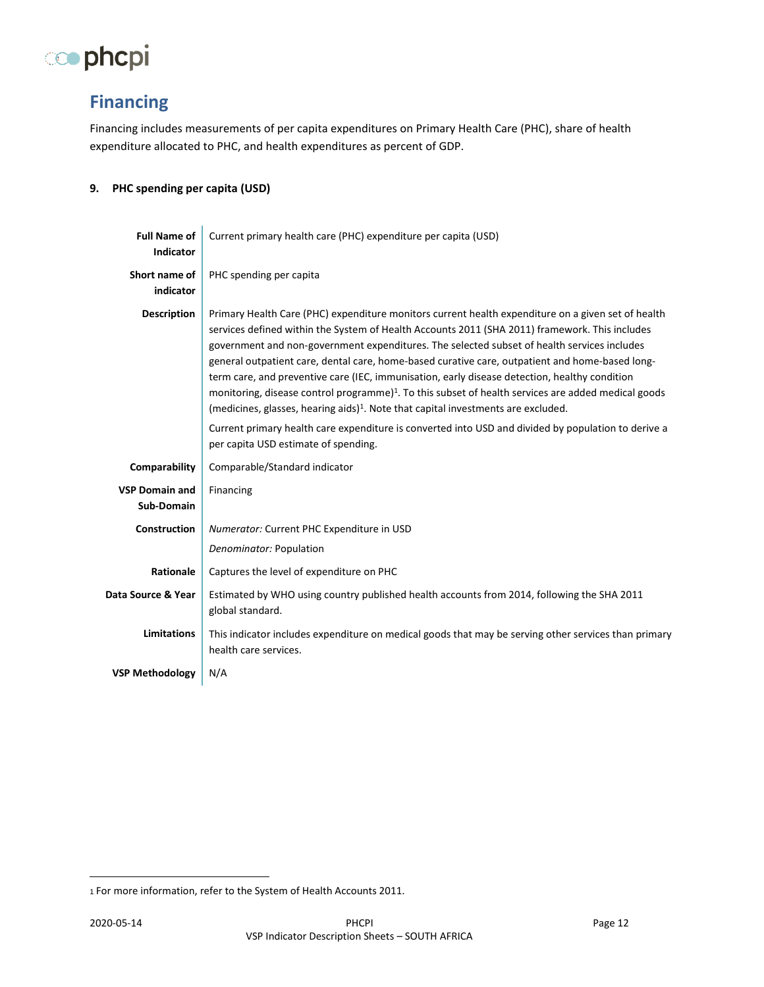

# <span id="page-10-0"></span>**Financing**

Financing includes measurements of per capita expenditures on Primary Health Care (PHC), share of health expenditure allocated to PHC, and health expenditures as percent of GDP.

#### <span id="page-10-1"></span>**9. PHC spending per capita (USD)**

| <b>Full Name of</b><br><b>Indicator</b> | Current primary health care (PHC) expenditure per capita (USD)                                                                                                                                                                                                                                                                                                                                                                                                                                                                                                                                                                                                                                                                                                                                                                                                             |
|-----------------------------------------|----------------------------------------------------------------------------------------------------------------------------------------------------------------------------------------------------------------------------------------------------------------------------------------------------------------------------------------------------------------------------------------------------------------------------------------------------------------------------------------------------------------------------------------------------------------------------------------------------------------------------------------------------------------------------------------------------------------------------------------------------------------------------------------------------------------------------------------------------------------------------|
| Short name of<br>indicator              | PHC spending per capita                                                                                                                                                                                                                                                                                                                                                                                                                                                                                                                                                                                                                                                                                                                                                                                                                                                    |
| <b>Description</b>                      | Primary Health Care (PHC) expenditure monitors current health expenditure on a given set of health<br>services defined within the System of Health Accounts 2011 (SHA 2011) framework. This includes<br>government and non-government expenditures. The selected subset of health services includes<br>general outpatient care, dental care, home-based curative care, outpatient and home-based long-<br>term care, and preventive care (IEC, immunisation, early disease detection, healthy condition<br>monitoring, disease control programme) <sup>1</sup> . To this subset of health services are added medical goods<br>(medicines, glasses, hearing aids) <sup>1</sup> . Note that capital investments are excluded.<br>Current primary health care expenditure is converted into USD and divided by population to derive a<br>per capita USD estimate of spending. |
| Comparability                           | Comparable/Standard indicator                                                                                                                                                                                                                                                                                                                                                                                                                                                                                                                                                                                                                                                                                                                                                                                                                                              |
| <b>VSP Domain and</b><br>Sub-Domain     | Financing                                                                                                                                                                                                                                                                                                                                                                                                                                                                                                                                                                                                                                                                                                                                                                                                                                                                  |
| <b>Construction</b>                     | Numerator: Current PHC Expenditure in USD<br>Denominator: Population                                                                                                                                                                                                                                                                                                                                                                                                                                                                                                                                                                                                                                                                                                                                                                                                       |
| <b>Rationale</b>                        | Captures the level of expenditure on PHC                                                                                                                                                                                                                                                                                                                                                                                                                                                                                                                                                                                                                                                                                                                                                                                                                                   |
| Data Source & Year                      | Estimated by WHO using country published health accounts from 2014, following the SHA 2011<br>global standard.                                                                                                                                                                                                                                                                                                                                                                                                                                                                                                                                                                                                                                                                                                                                                             |
| <b>Limitations</b>                      | This indicator includes expenditure on medical goods that may be serving other services than primary<br>health care services.                                                                                                                                                                                                                                                                                                                                                                                                                                                                                                                                                                                                                                                                                                                                              |
| <b>VSP Methodology</b>                  | N/A                                                                                                                                                                                                                                                                                                                                                                                                                                                                                                                                                                                                                                                                                                                                                                                                                                                                        |

<sup>1</sup> For more information, refer to the System of Health Accounts 2011.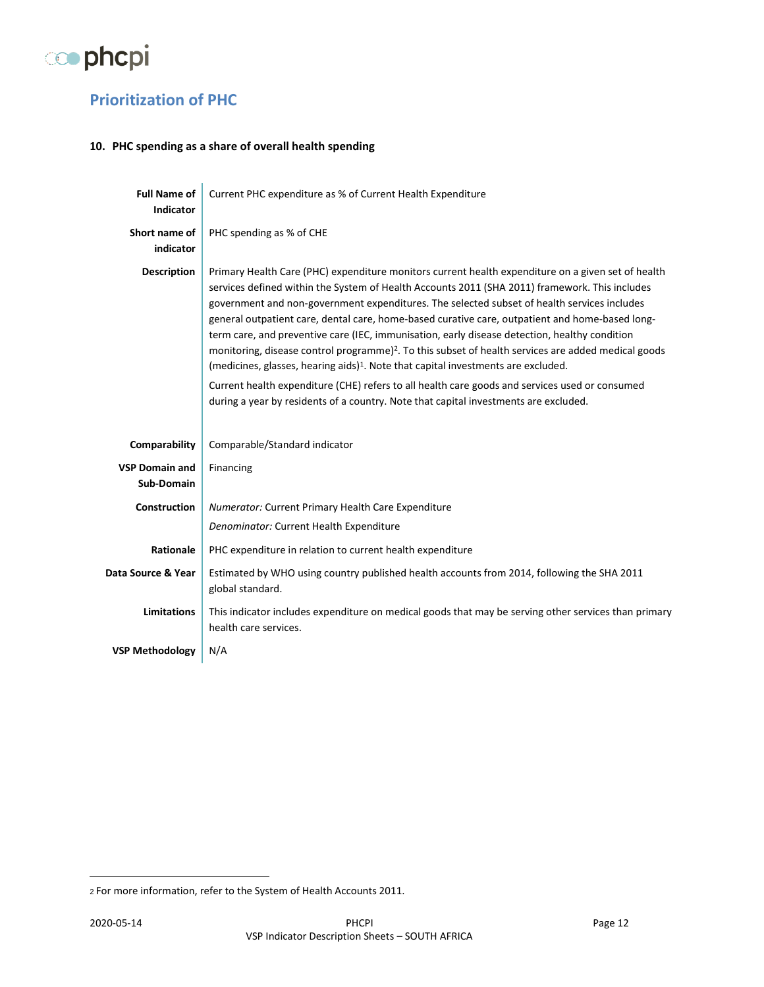

# <span id="page-11-0"></span>**Prioritization of PHC**

#### <span id="page-11-1"></span>**10. PHC spending as a share of overall health spending**

| <b>Full Name of</b><br><b>Indicator</b> | Current PHC expenditure as % of Current Health Expenditure                                                                                                                                                                                                                                                                                                                                                                                                                                                                                                                                                                                                                                                                                                                                                                                                                                                            |
|-----------------------------------------|-----------------------------------------------------------------------------------------------------------------------------------------------------------------------------------------------------------------------------------------------------------------------------------------------------------------------------------------------------------------------------------------------------------------------------------------------------------------------------------------------------------------------------------------------------------------------------------------------------------------------------------------------------------------------------------------------------------------------------------------------------------------------------------------------------------------------------------------------------------------------------------------------------------------------|
| Short name of<br>indicator              | PHC spending as % of CHE                                                                                                                                                                                                                                                                                                                                                                                                                                                                                                                                                                                                                                                                                                                                                                                                                                                                                              |
| <b>Description</b>                      | Primary Health Care (PHC) expenditure monitors current health expenditure on a given set of health<br>services defined within the System of Health Accounts 2011 (SHA 2011) framework. This includes<br>government and non-government expenditures. The selected subset of health services includes<br>general outpatient care, dental care, home-based curative care, outpatient and home-based long-<br>term care, and preventive care (IEC, immunisation, early disease detection, healthy condition<br>monitoring, disease control programme) <sup>2</sup> . To this subset of health services are added medical goods<br>(medicines, glasses, hearing aids) <sup>1</sup> . Note that capital investments are excluded.<br>Current health expenditure (CHE) refers to all health care goods and services used or consumed<br>during a year by residents of a country. Note that capital investments are excluded. |
| Comparability                           | Comparable/Standard indicator                                                                                                                                                                                                                                                                                                                                                                                                                                                                                                                                                                                                                                                                                                                                                                                                                                                                                         |
| <b>VSP Domain and</b><br>Sub-Domain     | Financing                                                                                                                                                                                                                                                                                                                                                                                                                                                                                                                                                                                                                                                                                                                                                                                                                                                                                                             |
| <b>Construction</b>                     | Numerator: Current Primary Health Care Expenditure                                                                                                                                                                                                                                                                                                                                                                                                                                                                                                                                                                                                                                                                                                                                                                                                                                                                    |
|                                         | Denominator: Current Health Expenditure                                                                                                                                                                                                                                                                                                                                                                                                                                                                                                                                                                                                                                                                                                                                                                                                                                                                               |
| Rationale                               | PHC expenditure in relation to current health expenditure                                                                                                                                                                                                                                                                                                                                                                                                                                                                                                                                                                                                                                                                                                                                                                                                                                                             |
| Data Source & Year                      | Estimated by WHO using country published health accounts from 2014, following the SHA 2011<br>global standard.                                                                                                                                                                                                                                                                                                                                                                                                                                                                                                                                                                                                                                                                                                                                                                                                        |
| <b>Limitations</b>                      | This indicator includes expenditure on medical goods that may be serving other services than primary<br>health care services.                                                                                                                                                                                                                                                                                                                                                                                                                                                                                                                                                                                                                                                                                                                                                                                         |
| <b>VSP Methodology</b>                  | N/A                                                                                                                                                                                                                                                                                                                                                                                                                                                                                                                                                                                                                                                                                                                                                                                                                                                                                                                   |

<sup>2</sup> For more information, refer to the System of Health Accounts 2011.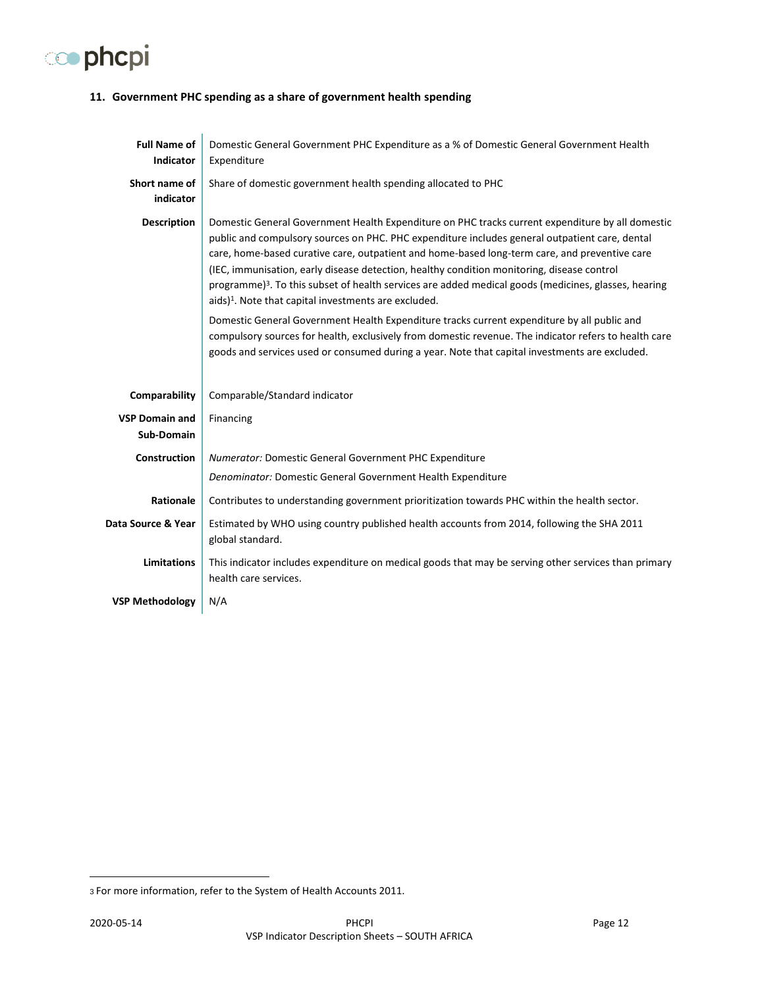# co phcpi

#### <span id="page-12-0"></span>**11. Government PHC spending as a share of government health spending**

| <b>Full Name of</b><br>Indicator           | Domestic General Government PHC Expenditure as a % of Domestic General Government Health<br>Expenditure                                                                                                                                                                                                                                                                                                                                                                                                                                                                                   |
|--------------------------------------------|-------------------------------------------------------------------------------------------------------------------------------------------------------------------------------------------------------------------------------------------------------------------------------------------------------------------------------------------------------------------------------------------------------------------------------------------------------------------------------------------------------------------------------------------------------------------------------------------|
| Short name of<br>indicator                 | Share of domestic government health spending allocated to PHC                                                                                                                                                                                                                                                                                                                                                                                                                                                                                                                             |
| <b>Description</b>                         | Domestic General Government Health Expenditure on PHC tracks current expenditure by all domestic<br>public and compulsory sources on PHC. PHC expenditure includes general outpatient care, dental<br>care, home-based curative care, outpatient and home-based long-term care, and preventive care<br>(IEC, immunisation, early disease detection, healthy condition monitoring, disease control<br>programme) <sup>3</sup> . To this subset of health services are added medical goods (medicines, glasses, hearing<br>aids) <sup>1</sup> . Note that capital investments are excluded. |
|                                            | Domestic General Government Health Expenditure tracks current expenditure by all public and<br>compulsory sources for health, exclusively from domestic revenue. The indicator refers to health care<br>goods and services used or consumed during a year. Note that capital investments are excluded.                                                                                                                                                                                                                                                                                    |
| Comparability                              | Comparable/Standard indicator                                                                                                                                                                                                                                                                                                                                                                                                                                                                                                                                                             |
| <b>VSP Domain and</b><br><b>Sub-Domain</b> | Financing                                                                                                                                                                                                                                                                                                                                                                                                                                                                                                                                                                                 |
| Construction                               | <b>Numerator: Domestic General Government PHC Expenditure</b>                                                                                                                                                                                                                                                                                                                                                                                                                                                                                                                             |
|                                            | Denominator: Domestic General Government Health Expenditure                                                                                                                                                                                                                                                                                                                                                                                                                                                                                                                               |
| Rationale                                  | Contributes to understanding government prioritization towards PHC within the health sector.                                                                                                                                                                                                                                                                                                                                                                                                                                                                                              |
| Data Source & Year                         | Estimated by WHO using country published health accounts from 2014, following the SHA 2011<br>global standard.                                                                                                                                                                                                                                                                                                                                                                                                                                                                            |
| <b>Limitations</b>                         | This indicator includes expenditure on medical goods that may be serving other services than primary<br>health care services.                                                                                                                                                                                                                                                                                                                                                                                                                                                             |
| <b>VSP Methodology</b>                     | N/A                                                                                                                                                                                                                                                                                                                                                                                                                                                                                                                                                                                       |

<sup>3</sup> For more information, refer to the System of Health Accounts 2011.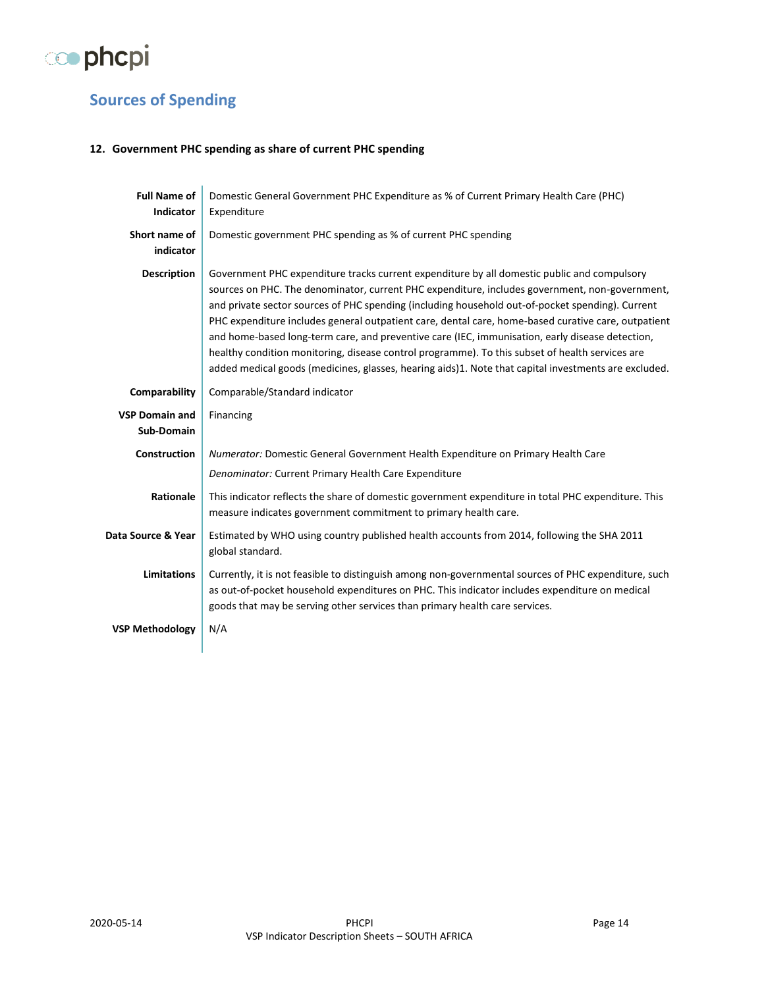

# <span id="page-13-0"></span>**Sources of Spending**

#### <span id="page-13-1"></span>**12. Government PHC spending as share of current PHC spending**

| <b>Full Name of</b><br><b>Indicator</b> | Domestic General Government PHC Expenditure as % of Current Primary Health Care (PHC)<br>Expenditure                                                                                                                                                                                                                                                                                                                                                                                                                                                                                                                                                                                                                   |
|-----------------------------------------|------------------------------------------------------------------------------------------------------------------------------------------------------------------------------------------------------------------------------------------------------------------------------------------------------------------------------------------------------------------------------------------------------------------------------------------------------------------------------------------------------------------------------------------------------------------------------------------------------------------------------------------------------------------------------------------------------------------------|
| Short name of<br>indicator              | Domestic government PHC spending as % of current PHC spending                                                                                                                                                                                                                                                                                                                                                                                                                                                                                                                                                                                                                                                          |
| <b>Description</b>                      | Government PHC expenditure tracks current expenditure by all domestic public and compulsory<br>sources on PHC. The denominator, current PHC expenditure, includes government, non-government,<br>and private sector sources of PHC spending (including household out-of-pocket spending). Current<br>PHC expenditure includes general outpatient care, dental care, home-based curative care, outpatient<br>and home-based long-term care, and preventive care (IEC, immunisation, early disease detection,<br>healthy condition monitoring, disease control programme). To this subset of health services are<br>added medical goods (medicines, glasses, hearing aids)1. Note that capital investments are excluded. |
| Comparability                           | Comparable/Standard indicator                                                                                                                                                                                                                                                                                                                                                                                                                                                                                                                                                                                                                                                                                          |
| <b>VSP Domain and</b><br>Sub-Domain     | Financing                                                                                                                                                                                                                                                                                                                                                                                                                                                                                                                                                                                                                                                                                                              |
| Construction                            | Numerator: Domestic General Government Health Expenditure on Primary Health Care                                                                                                                                                                                                                                                                                                                                                                                                                                                                                                                                                                                                                                       |
|                                         | Denominator: Current Primary Health Care Expenditure                                                                                                                                                                                                                                                                                                                                                                                                                                                                                                                                                                                                                                                                   |
| Rationale                               | This indicator reflects the share of domestic government expenditure in total PHC expenditure. This<br>measure indicates government commitment to primary health care.                                                                                                                                                                                                                                                                                                                                                                                                                                                                                                                                                 |
| Data Source & Year                      | Estimated by WHO using country published health accounts from 2014, following the SHA 2011<br>global standard.                                                                                                                                                                                                                                                                                                                                                                                                                                                                                                                                                                                                         |
| <b>Limitations</b>                      | Currently, it is not feasible to distinguish among non-governmental sources of PHC expenditure, such<br>as out-of-pocket household expenditures on PHC. This indicator includes expenditure on medical<br>goods that may be serving other services than primary health care services.                                                                                                                                                                                                                                                                                                                                                                                                                                  |
| <b>VSP Methodology</b>                  | N/A                                                                                                                                                                                                                                                                                                                                                                                                                                                                                                                                                                                                                                                                                                                    |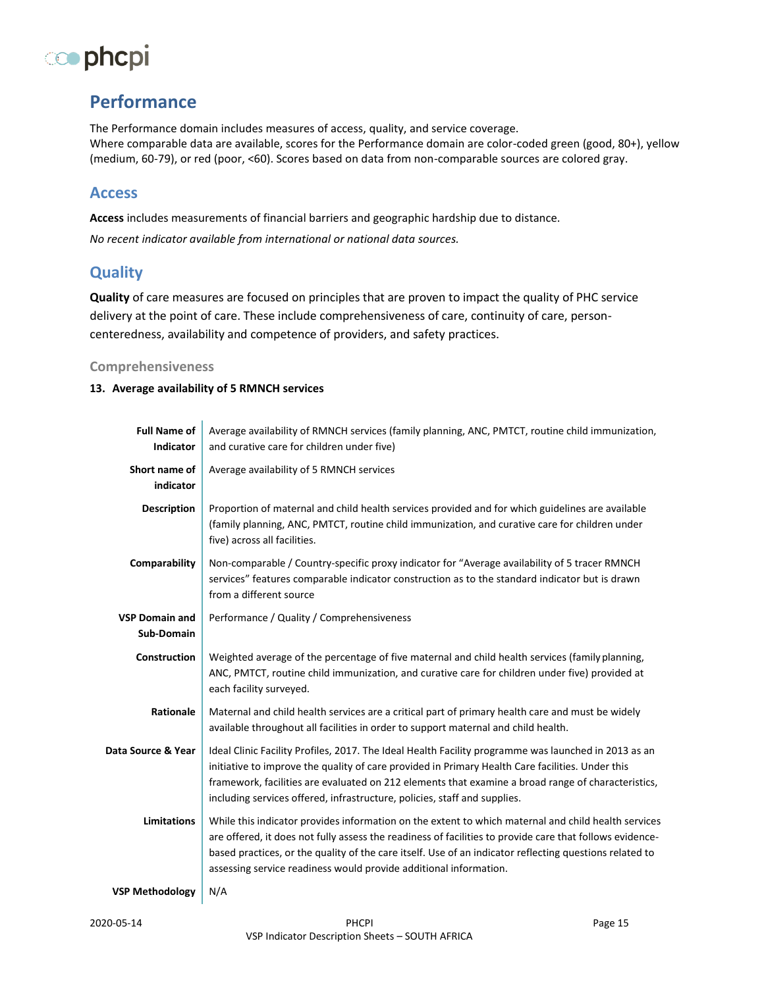# co phcpi

# **Performance**

<span id="page-14-0"></span>The Performance domain includes measures of access, quality, and service coverage. Where comparable data are available, scores for the Performance domain are color-coded green (good, 80+), yellow (medium, 60-79), or red (poor, <60). Scores based on data from non-comparable sources are colored gray. 

## **Access**

**Access** includes measurements of financial barriers and geographic hardship due to distance.

*No recent indicator available from international or national data sources.*

## <span id="page-14-1"></span>**Quality**

**Quality** of care measures are focused on principles that are proven to impact the quality of PHC service delivery at the point of care. These include comprehensiveness of care, continuity of care, personcenteredness, availability and competence of providers, and safety practices.

#### <span id="page-14-2"></span>**Comprehensiveness**

#### <span id="page-14-3"></span>**13. Average availability of 5 RMNCH services**

| <b>Full Name of</b><br><b>Indicator</b> | Average availability of RMNCH services (family planning, ANC, PMTCT, routine child immunization,<br>and curative care for children under five)                                                                                                                                                                                                                                                  |
|-----------------------------------------|-------------------------------------------------------------------------------------------------------------------------------------------------------------------------------------------------------------------------------------------------------------------------------------------------------------------------------------------------------------------------------------------------|
| Short name of<br>indicator              | Average availability of 5 RMNCH services                                                                                                                                                                                                                                                                                                                                                        |
| <b>Description</b>                      | Proportion of maternal and child health services provided and for which guidelines are available<br>(family planning, ANC, PMTCT, routine child immunization, and curative care for children under<br>five) across all facilities.                                                                                                                                                              |
| Comparability                           | Non-comparable / Country-specific proxy indicator for "Average availability of 5 tracer RMNCH<br>services" features comparable indicator construction as to the standard indicator but is drawn<br>from a different source                                                                                                                                                                      |
| <b>VSP Domain and</b>                   | Performance / Quality / Comprehensiveness                                                                                                                                                                                                                                                                                                                                                       |
| Sub-Domain                              |                                                                                                                                                                                                                                                                                                                                                                                                 |
| <b>Construction</b>                     | Weighted average of the percentage of five maternal and child health services (family planning,<br>ANC, PMTCT, routine child immunization, and curative care for children under five) provided at<br>each facility surveyed.                                                                                                                                                                    |
| Rationale                               | Maternal and child health services are a critical part of primary health care and must be widely<br>available throughout all facilities in order to support maternal and child health.                                                                                                                                                                                                          |
| Data Source & Year                      | Ideal Clinic Facility Profiles, 2017. The Ideal Health Facility programme was launched in 2013 as an<br>initiative to improve the quality of care provided in Primary Health Care facilities. Under this<br>framework, facilities are evaluated on 212 elements that examine a broad range of characteristics,<br>including services offered, infrastructure, policies, staff and supplies.     |
| <b>Limitations</b>                      | While this indicator provides information on the extent to which maternal and child health services<br>are offered, it does not fully assess the readiness of facilities to provide care that follows evidence-<br>based practices, or the quality of the care itself. Use of an indicator reflecting questions related to<br>assessing service readiness would provide additional information. |
| <b>VSP Methodology</b>                  | N/A                                                                                                                                                                                                                                                                                                                                                                                             |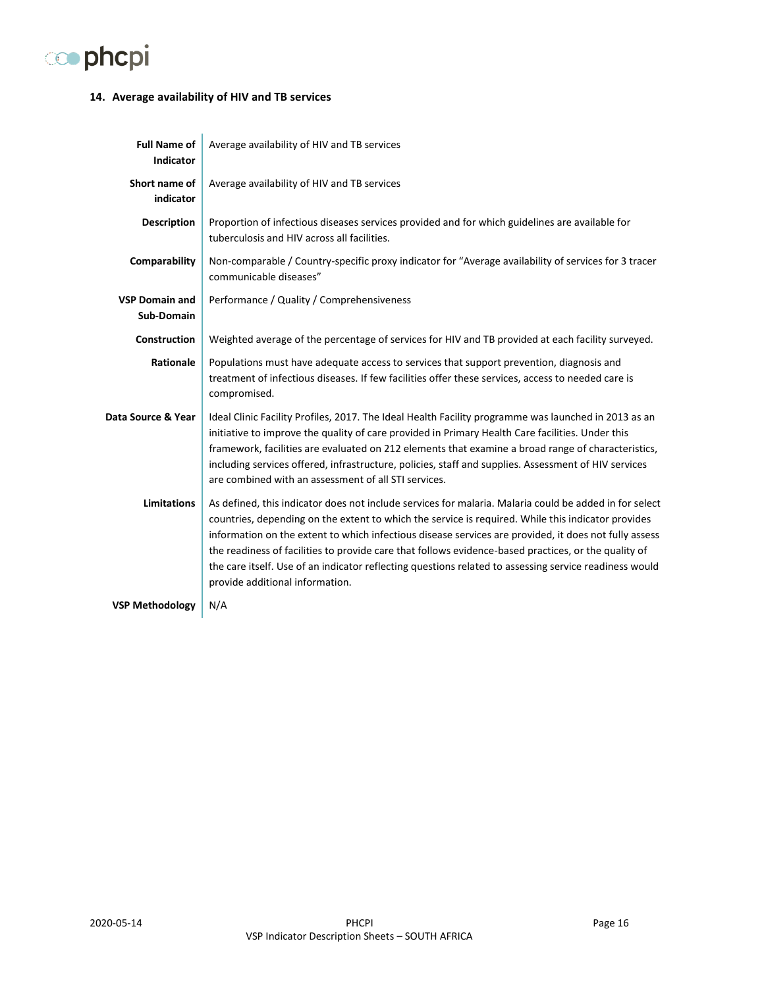

#### <span id="page-15-0"></span>**14. Average availability of HIV and TB services**

| <b>Full Name of</b><br><b>Indicator</b> | Average availability of HIV and TB services                                                                                                                                                                                                                                                                                                                                                                                                                                                                                                                                |
|-----------------------------------------|----------------------------------------------------------------------------------------------------------------------------------------------------------------------------------------------------------------------------------------------------------------------------------------------------------------------------------------------------------------------------------------------------------------------------------------------------------------------------------------------------------------------------------------------------------------------------|
| Short name of<br>indicator              | Average availability of HIV and TB services                                                                                                                                                                                                                                                                                                                                                                                                                                                                                                                                |
| <b>Description</b>                      | Proportion of infectious diseases services provided and for which guidelines are available for<br>tuberculosis and HIV across all facilities.                                                                                                                                                                                                                                                                                                                                                                                                                              |
| Comparability                           | Non-comparable / Country-specific proxy indicator for "Average availability of services for 3 tracer<br>communicable diseases"                                                                                                                                                                                                                                                                                                                                                                                                                                             |
| <b>VSP Domain and</b><br>Sub-Domain     | Performance / Quality / Comprehensiveness                                                                                                                                                                                                                                                                                                                                                                                                                                                                                                                                  |
| Construction                            | Weighted average of the percentage of services for HIV and TB provided at each facility surveyed.                                                                                                                                                                                                                                                                                                                                                                                                                                                                          |
| Rationale                               | Populations must have adequate access to services that support prevention, diagnosis and<br>treatment of infectious diseases. If few facilities offer these services, access to needed care is<br>compromised.                                                                                                                                                                                                                                                                                                                                                             |
| Data Source & Year                      | Ideal Clinic Facility Profiles, 2017. The Ideal Health Facility programme was launched in 2013 as an<br>initiative to improve the quality of care provided in Primary Health Care facilities. Under this<br>framework, facilities are evaluated on 212 elements that examine a broad range of characteristics,<br>including services offered, infrastructure, policies, staff and supplies. Assessment of HIV services<br>are combined with an assessment of all STI services.                                                                                             |
| <b>Limitations</b>                      | As defined, this indicator does not include services for malaria. Malaria could be added in for select<br>countries, depending on the extent to which the service is required. While this indicator provides<br>information on the extent to which infectious disease services are provided, it does not fully assess<br>the readiness of facilities to provide care that follows evidence-based practices, or the quality of<br>the care itself. Use of an indicator reflecting questions related to assessing service readiness would<br>provide additional information. |
| <b>VSP Methodology</b>                  | N/A                                                                                                                                                                                                                                                                                                                                                                                                                                                                                                                                                                        |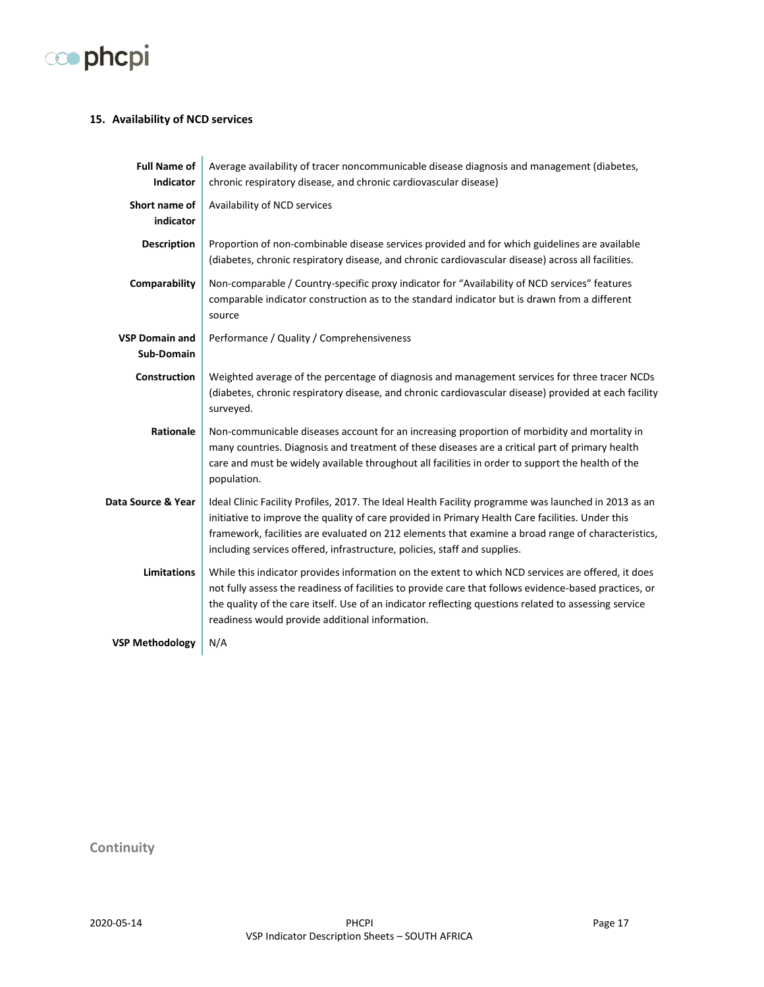

#### <span id="page-16-0"></span>**15. Availability of NCD services**

| <b>Full Name of</b><br><b>Indicator</b>    | Average availability of tracer noncommunicable disease diagnosis and management (diabetes,<br>chronic respiratory disease, and chronic cardiovascular disease)                                                                                                                                                                                                                              |
|--------------------------------------------|---------------------------------------------------------------------------------------------------------------------------------------------------------------------------------------------------------------------------------------------------------------------------------------------------------------------------------------------------------------------------------------------|
| Short name of<br>indicator                 | Availability of NCD services                                                                                                                                                                                                                                                                                                                                                                |
| <b>Description</b>                         | Proportion of non-combinable disease services provided and for which guidelines are available<br>(diabetes, chronic respiratory disease, and chronic cardiovascular disease) across all facilities.                                                                                                                                                                                         |
| Comparability                              | Non-comparable / Country-specific proxy indicator for "Availability of NCD services" features<br>comparable indicator construction as to the standard indicator but is drawn from a different<br>source                                                                                                                                                                                     |
| <b>VSP Domain and</b><br><b>Sub-Domain</b> | Performance / Quality / Comprehensiveness                                                                                                                                                                                                                                                                                                                                                   |
| Construction                               | Weighted average of the percentage of diagnosis and management services for three tracer NCDs<br>(diabetes, chronic respiratory disease, and chronic cardiovascular disease) provided at each facility<br>surveyed.                                                                                                                                                                         |
| Rationale                                  | Non-communicable diseases account for an increasing proportion of morbidity and mortality in<br>many countries. Diagnosis and treatment of these diseases are a critical part of primary health<br>care and must be widely available throughout all facilities in order to support the health of the<br>population.                                                                         |
| Data Source & Year                         | Ideal Clinic Facility Profiles, 2017. The Ideal Health Facility programme was launched in 2013 as an<br>initiative to improve the quality of care provided in Primary Health Care facilities. Under this<br>framework, facilities are evaluated on 212 elements that examine a broad range of characteristics,<br>including services offered, infrastructure, policies, staff and supplies. |
| <b>Limitations</b>                         | While this indicator provides information on the extent to which NCD services are offered, it does<br>not fully assess the readiness of facilities to provide care that follows evidence-based practices, or<br>the quality of the care itself. Use of an indicator reflecting questions related to assessing service<br>readiness would provide additional information.                    |
| <b>VSP Methodology</b>                     | N/A                                                                                                                                                                                                                                                                                                                                                                                         |

<span id="page-16-1"></span>**Continuity**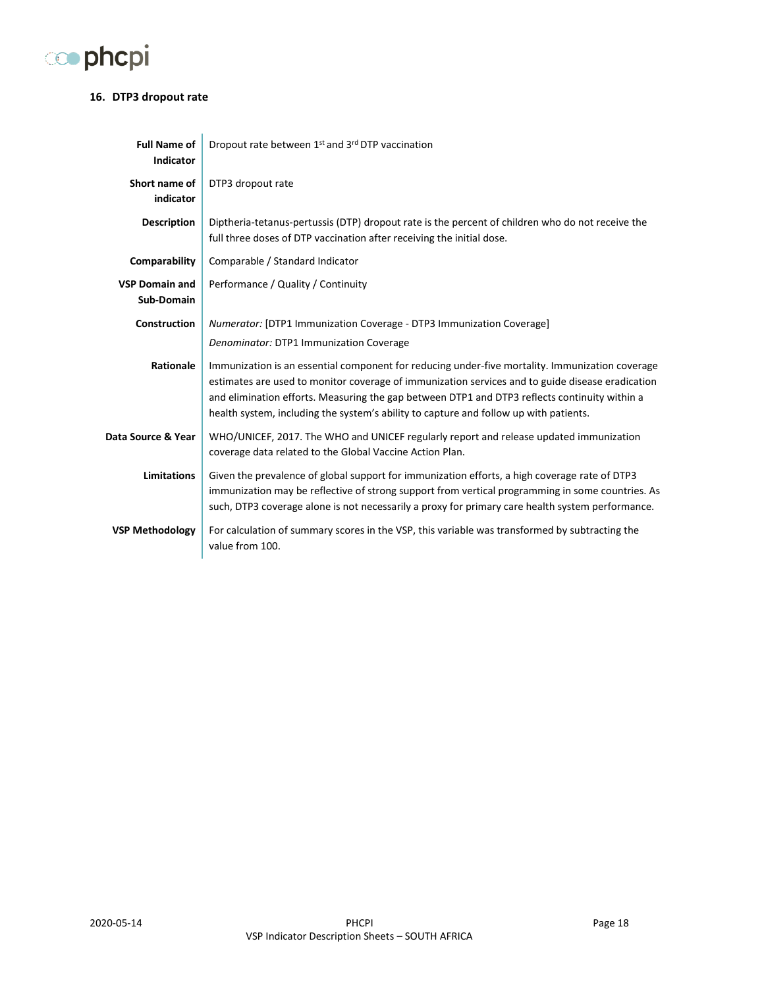

#### <span id="page-17-0"></span>**16. DTP3 dropout rate**

| <b>Full Name of</b><br><b>Indicator</b> | Dropout rate between 1st and 3rd DTP vaccination                                                                                                                                                                                                                                                                                                                                              |
|-----------------------------------------|-----------------------------------------------------------------------------------------------------------------------------------------------------------------------------------------------------------------------------------------------------------------------------------------------------------------------------------------------------------------------------------------------|
| Short name of<br>indicator              | DTP3 dropout rate                                                                                                                                                                                                                                                                                                                                                                             |
| <b>Description</b>                      | Diptheria-tetanus-pertussis (DTP) dropout rate is the percent of children who do not receive the<br>full three doses of DTP vaccination after receiving the initial dose.                                                                                                                                                                                                                     |
| Comparability                           | Comparable / Standard Indicator                                                                                                                                                                                                                                                                                                                                                               |
| <b>VSP Domain and</b><br>Sub-Domain     | Performance / Quality / Continuity                                                                                                                                                                                                                                                                                                                                                            |
| Construction                            | Numerator: [DTP1 Immunization Coverage - DTP3 Immunization Coverage]                                                                                                                                                                                                                                                                                                                          |
|                                         | Denominator: DTP1 Immunization Coverage                                                                                                                                                                                                                                                                                                                                                       |
| Rationale                               | Immunization is an essential component for reducing under-five mortality. Immunization coverage<br>estimates are used to monitor coverage of immunization services and to guide disease eradication<br>and elimination efforts. Measuring the gap between DTP1 and DTP3 reflects continuity within a<br>health system, including the system's ability to capture and follow up with patients. |
| Data Source & Year                      | WHO/UNICEF, 2017. The WHO and UNICEF regularly report and release updated immunization<br>coverage data related to the Global Vaccine Action Plan.                                                                                                                                                                                                                                            |
| <b>Limitations</b>                      | Given the prevalence of global support for immunization efforts, a high coverage rate of DTP3<br>immunization may be reflective of strong support from vertical programming in some countries. As<br>such, DTP3 coverage alone is not necessarily a proxy for primary care health system performance.                                                                                         |
| <b>VSP Methodology</b>                  | For calculation of summary scores in the VSP, this variable was transformed by subtracting the<br>value from 100.                                                                                                                                                                                                                                                                             |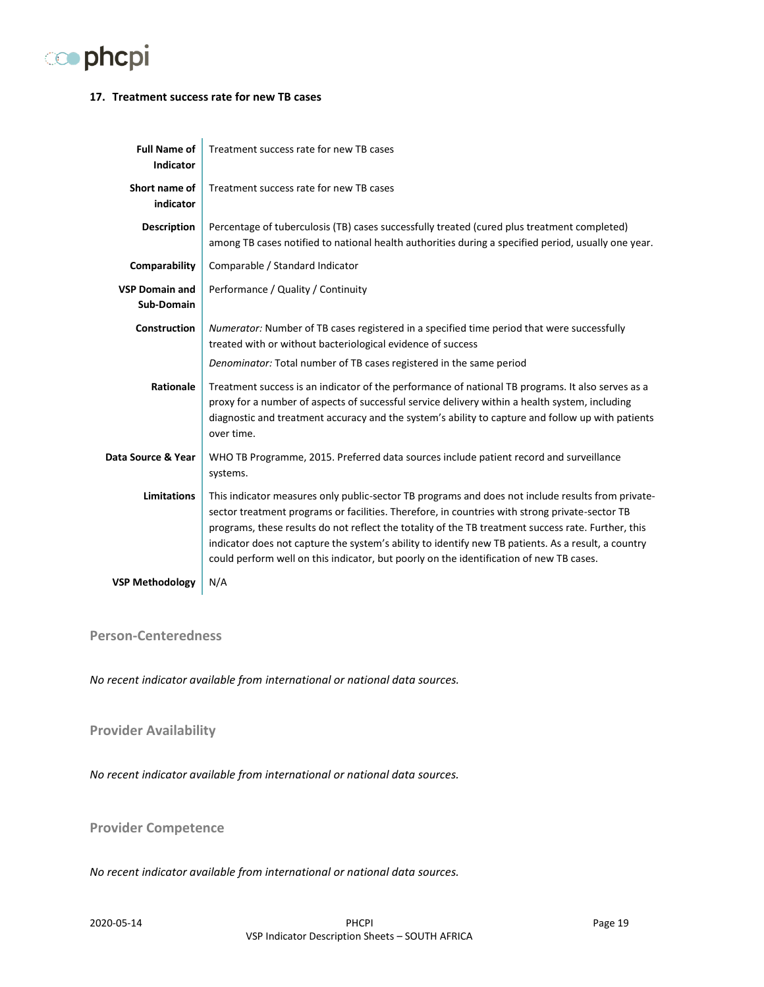

#### <span id="page-18-0"></span>**17. Treatment success rate for new TB cases**

| <b>Full Name of</b><br><b>Indicator</b> | Treatment success rate for new TB cases                                                                                                                                                                                                                                                                                                                                                                                                                                                                      |
|-----------------------------------------|--------------------------------------------------------------------------------------------------------------------------------------------------------------------------------------------------------------------------------------------------------------------------------------------------------------------------------------------------------------------------------------------------------------------------------------------------------------------------------------------------------------|
| Short name of<br>indicator              | Treatment success rate for new TB cases                                                                                                                                                                                                                                                                                                                                                                                                                                                                      |
| <b>Description</b>                      | Percentage of tuberculosis (TB) cases successfully treated (cured plus treatment completed)<br>among TB cases notified to national health authorities during a specified period, usually one year.                                                                                                                                                                                                                                                                                                           |
| Comparability                           | Comparable / Standard Indicator                                                                                                                                                                                                                                                                                                                                                                                                                                                                              |
| <b>VSP Domain and</b><br>Sub-Domain     | Performance / Quality / Continuity                                                                                                                                                                                                                                                                                                                                                                                                                                                                           |
| <b>Construction</b>                     | Numerator: Number of TB cases registered in a specified time period that were successfully<br>treated with or without bacteriological evidence of success                                                                                                                                                                                                                                                                                                                                                    |
|                                         | Denominator: Total number of TB cases registered in the same period                                                                                                                                                                                                                                                                                                                                                                                                                                          |
| Rationale                               | Treatment success is an indicator of the performance of national TB programs. It also serves as a<br>proxy for a number of aspects of successful service delivery within a health system, including<br>diagnostic and treatment accuracy and the system's ability to capture and follow up with patients<br>over time.                                                                                                                                                                                       |
| Data Source & Year                      | WHO TB Programme, 2015. Preferred data sources include patient record and surveillance<br>systems.                                                                                                                                                                                                                                                                                                                                                                                                           |
| <b>Limitations</b>                      | This indicator measures only public-sector TB programs and does not include results from private-<br>sector treatment programs or facilities. Therefore, in countries with strong private-sector TB<br>programs, these results do not reflect the totality of the TB treatment success rate. Further, this<br>indicator does not capture the system's ability to identify new TB patients. As a result, a country<br>could perform well on this indicator, but poorly on the identification of new TB cases. |
| <b>VSP Methodology</b>                  | N/A                                                                                                                                                                                                                                                                                                                                                                                                                                                                                                          |

#### <span id="page-18-1"></span>**Person-Centeredness**

*No recent indicator available from international or national data sources.*

#### <span id="page-18-2"></span>**Provider Availability**

*No recent indicator available from international or national data sources.*

#### <span id="page-18-3"></span>**Provider Competence**

*No recent indicator available from international or national data sources.*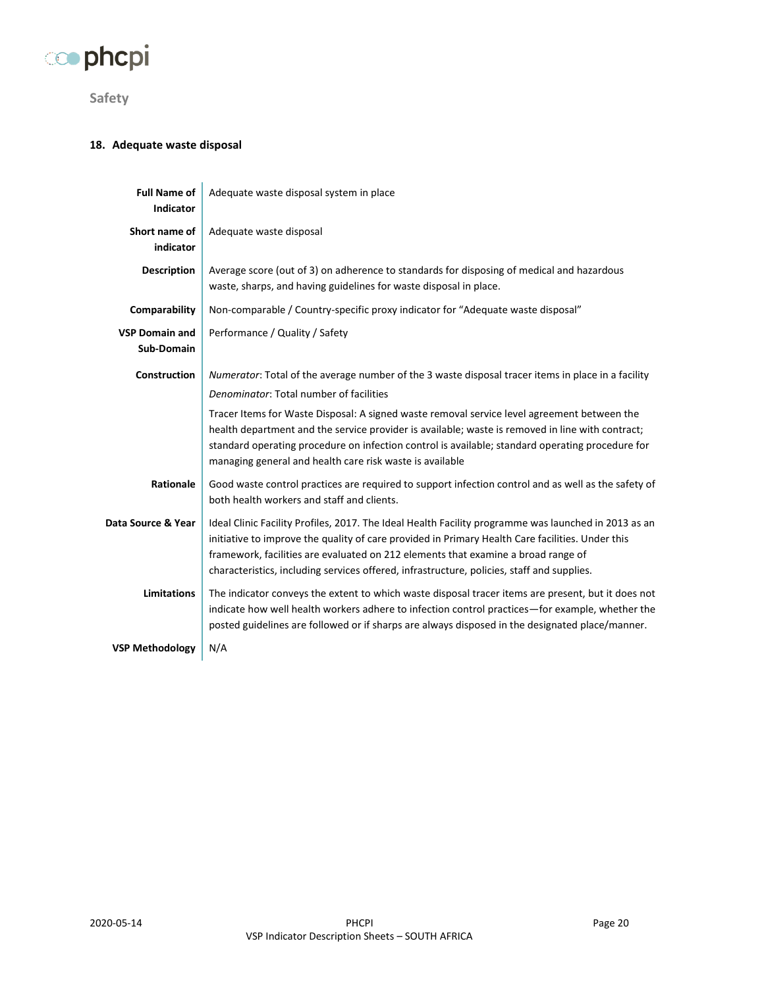

<span id="page-19-0"></span>**Safety**

#### <span id="page-19-1"></span>**18. Adequate waste disposal**

| <b>Full Name of</b><br><b>Indicator</b> | Adequate waste disposal system in place                                                                                                                                                                                                                                                                                                                                                     |
|-----------------------------------------|---------------------------------------------------------------------------------------------------------------------------------------------------------------------------------------------------------------------------------------------------------------------------------------------------------------------------------------------------------------------------------------------|
| Short name of<br>indicator              | Adequate waste disposal                                                                                                                                                                                                                                                                                                                                                                     |
| <b>Description</b>                      | Average score (out of 3) on adherence to standards for disposing of medical and hazardous<br>waste, sharps, and having guidelines for waste disposal in place.                                                                                                                                                                                                                              |
| Comparability                           | Non-comparable / Country-specific proxy indicator for "Adequate waste disposal"                                                                                                                                                                                                                                                                                                             |
| <b>VSP Domain and</b><br>Sub-Domain     | Performance / Quality / Safety                                                                                                                                                                                                                                                                                                                                                              |
| <b>Construction</b>                     | Numerator: Total of the average number of the 3 waste disposal tracer items in place in a facility                                                                                                                                                                                                                                                                                          |
|                                         | Denominator: Total number of facilities                                                                                                                                                                                                                                                                                                                                                     |
|                                         | Tracer Items for Waste Disposal: A signed waste removal service level agreement between the<br>health department and the service provider is available; waste is removed in line with contract;<br>standard operating procedure on infection control is available; standard operating procedure for<br>managing general and health care risk waste is available                             |
| Rationale                               | Good waste control practices are required to support infection control and as well as the safety of<br>both health workers and staff and clients.                                                                                                                                                                                                                                           |
| Data Source & Year                      | Ideal Clinic Facility Profiles, 2017. The Ideal Health Facility programme was launched in 2013 as an<br>initiative to improve the quality of care provided in Primary Health Care facilities. Under this<br>framework, facilities are evaluated on 212 elements that examine a broad range of<br>characteristics, including services offered, infrastructure, policies, staff and supplies. |
| <b>Limitations</b>                      | The indicator conveys the extent to which waste disposal tracer items are present, but it does not<br>indicate how well health workers adhere to infection control practices-for example, whether the<br>posted guidelines are followed or if sharps are always disposed in the designated place/manner.                                                                                    |
| <b>VSP Methodology</b>                  | N/A                                                                                                                                                                                                                                                                                                                                                                                         |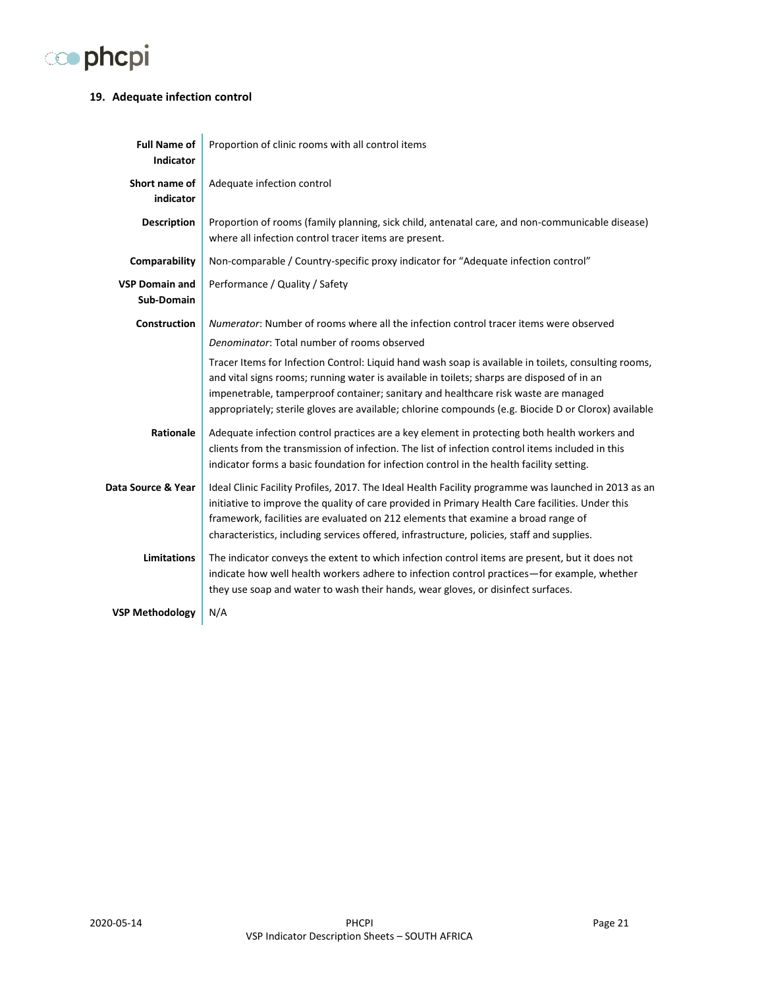

#### <span id="page-20-0"></span>**19. Adequate infection control**

| <b>Full Name of</b><br><b>Indicator</b> | Proportion of clinic rooms with all control items                                                                                                                                                                                                                                                                                                                                                 |
|-----------------------------------------|---------------------------------------------------------------------------------------------------------------------------------------------------------------------------------------------------------------------------------------------------------------------------------------------------------------------------------------------------------------------------------------------------|
| Short name of<br>indicator              | Adequate infection control                                                                                                                                                                                                                                                                                                                                                                        |
| <b>Description</b>                      | Proportion of rooms (family planning, sick child, antenatal care, and non-communicable disease)<br>where all infection control tracer items are present.                                                                                                                                                                                                                                          |
| Comparability                           | Non-comparable / Country-specific proxy indicator for "Adequate infection control"                                                                                                                                                                                                                                                                                                                |
| <b>VSP Domain and</b><br>Sub-Domain     | Performance / Quality / Safety                                                                                                                                                                                                                                                                                                                                                                    |
| <b>Construction</b>                     | Numerator: Number of rooms where all the infection control tracer items were observed                                                                                                                                                                                                                                                                                                             |
|                                         | Denominator: Total number of rooms observed                                                                                                                                                                                                                                                                                                                                                       |
|                                         | Tracer Items for Infection Control: Liquid hand wash soap is available in toilets, consulting rooms,<br>and vital signs rooms; running water is available in toilets; sharps are disposed of in an<br>impenetrable, tamperproof container; sanitary and healthcare risk waste are managed<br>appropriately; sterile gloves are available; chlorine compounds (e.g. Biocide D or Clorox) available |
| Rationale                               | Adequate infection control practices are a key element in protecting both health workers and<br>clients from the transmission of infection. The list of infection control items included in this<br>indicator forms a basic foundation for infection control in the health facility setting.                                                                                                      |
| Data Source & Year                      | Ideal Clinic Facility Profiles, 2017. The Ideal Health Facility programme was launched in 2013 as an<br>initiative to improve the quality of care provided in Primary Health Care facilities. Under this<br>framework, facilities are evaluated on 212 elements that examine a broad range of<br>characteristics, including services offered, infrastructure, policies, staff and supplies.       |
| <b>Limitations</b>                      | The indicator conveys the extent to which infection control items are present, but it does not<br>indicate how well health workers adhere to infection control practices-for example, whether<br>they use soap and water to wash their hands, wear gloves, or disinfect surfaces.                                                                                                                 |
| <b>VSP Methodology</b>                  | N/A                                                                                                                                                                                                                                                                                                                                                                                               |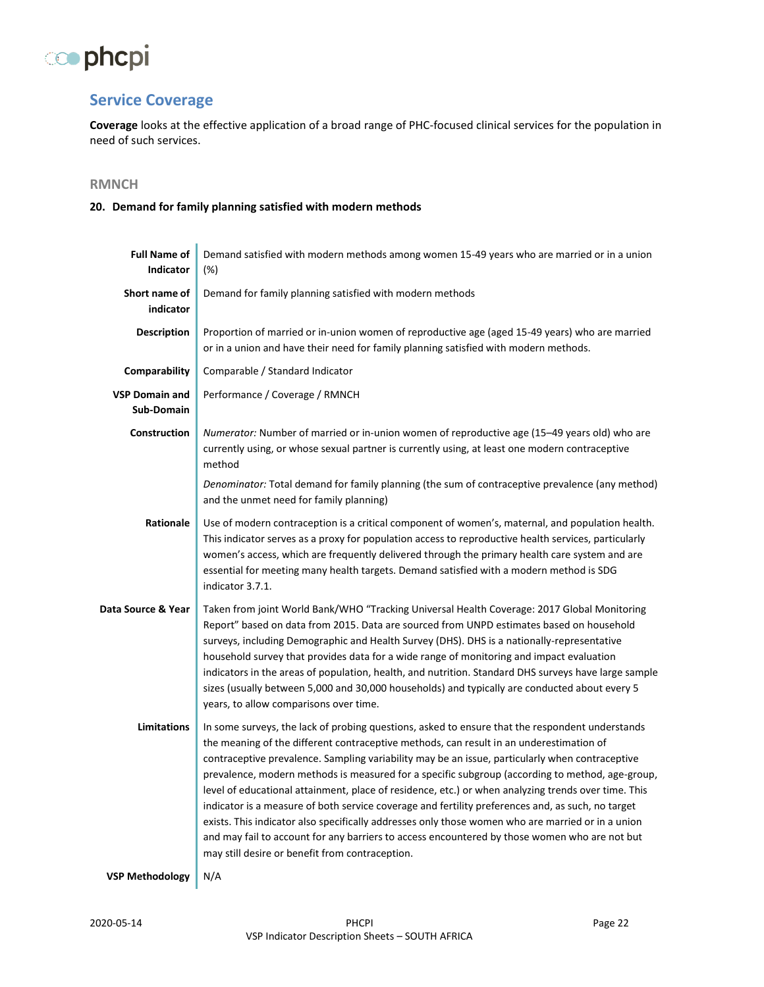

## <span id="page-21-0"></span>**Service Coverage**

**Coverage** looks at the effective application of a broad range of PHC-focused clinical services for the population in need of such services.

### <span id="page-21-1"></span>**RMNCH**

#### <span id="page-21-2"></span>**20. Demand for family planning satisfied with modern methods**

| <b>Full Name of</b><br>Indicator    | Demand satisfied with modern methods among women 15-49 years who are married or in a union<br>(%)                                                                                                                                                                                                                                                                                                                                                                                                                                                                                                                                                                                                                                                                                                                                                                     |
|-------------------------------------|-----------------------------------------------------------------------------------------------------------------------------------------------------------------------------------------------------------------------------------------------------------------------------------------------------------------------------------------------------------------------------------------------------------------------------------------------------------------------------------------------------------------------------------------------------------------------------------------------------------------------------------------------------------------------------------------------------------------------------------------------------------------------------------------------------------------------------------------------------------------------|
| Short name of<br>indicator          | Demand for family planning satisfied with modern methods                                                                                                                                                                                                                                                                                                                                                                                                                                                                                                                                                                                                                                                                                                                                                                                                              |
| <b>Description</b>                  | Proportion of married or in-union women of reproductive age (aged 15-49 years) who are married<br>or in a union and have their need for family planning satisfied with modern methods.                                                                                                                                                                                                                                                                                                                                                                                                                                                                                                                                                                                                                                                                                |
| Comparability                       | Comparable / Standard Indicator                                                                                                                                                                                                                                                                                                                                                                                                                                                                                                                                                                                                                                                                                                                                                                                                                                       |
| <b>VSP Domain and</b><br>Sub-Domain | Performance / Coverage / RMNCH                                                                                                                                                                                                                                                                                                                                                                                                                                                                                                                                                                                                                                                                                                                                                                                                                                        |
| <b>Construction</b>                 | Numerator: Number of married or in-union women of reproductive age (15–49 years old) who are<br>currently using, or whose sexual partner is currently using, at least one modern contraceptive<br>method                                                                                                                                                                                                                                                                                                                                                                                                                                                                                                                                                                                                                                                              |
|                                     | Denominator: Total demand for family planning (the sum of contraceptive prevalence (any method)<br>and the unmet need for family planning)                                                                                                                                                                                                                                                                                                                                                                                                                                                                                                                                                                                                                                                                                                                            |
| Rationale                           | Use of modern contraception is a critical component of women's, maternal, and population health.<br>This indicator serves as a proxy for population access to reproductive health services, particularly<br>women's access, which are frequently delivered through the primary health care system and are<br>essential for meeting many health targets. Demand satisfied with a modern method is SDG<br>indicator 3.7.1.                                                                                                                                                                                                                                                                                                                                                                                                                                              |
| Data Source & Year                  | Taken from joint World Bank/WHO "Tracking Universal Health Coverage: 2017 Global Monitoring<br>Report" based on data from 2015. Data are sourced from UNPD estimates based on household<br>surveys, including Demographic and Health Survey (DHS). DHS is a nationally-representative<br>household survey that provides data for a wide range of monitoring and impact evaluation<br>indicators in the areas of population, health, and nutrition. Standard DHS surveys have large sample<br>sizes (usually between 5,000 and 30,000 households) and typically are conducted about every 5<br>years, to allow comparisons over time.                                                                                                                                                                                                                                  |
| <b>Limitations</b>                  | In some surveys, the lack of probing questions, asked to ensure that the respondent understands<br>the meaning of the different contraceptive methods, can result in an underestimation of<br>contraceptive prevalence. Sampling variability may be an issue, particularly when contraceptive<br>prevalence, modern methods is measured for a specific subgroup (according to method, age-group,<br>level of educational attainment, place of residence, etc.) or when analyzing trends over time. This<br>indicator is a measure of both service coverage and fertility preferences and, as such, no target<br>exists. This indicator also specifically addresses only those women who are married or in a union<br>and may fail to account for any barriers to access encountered by those women who are not but<br>may still desire or benefit from contraception. |
| <b>VSP Methodology</b>              | N/A                                                                                                                                                                                                                                                                                                                                                                                                                                                                                                                                                                                                                                                                                                                                                                                                                                                                   |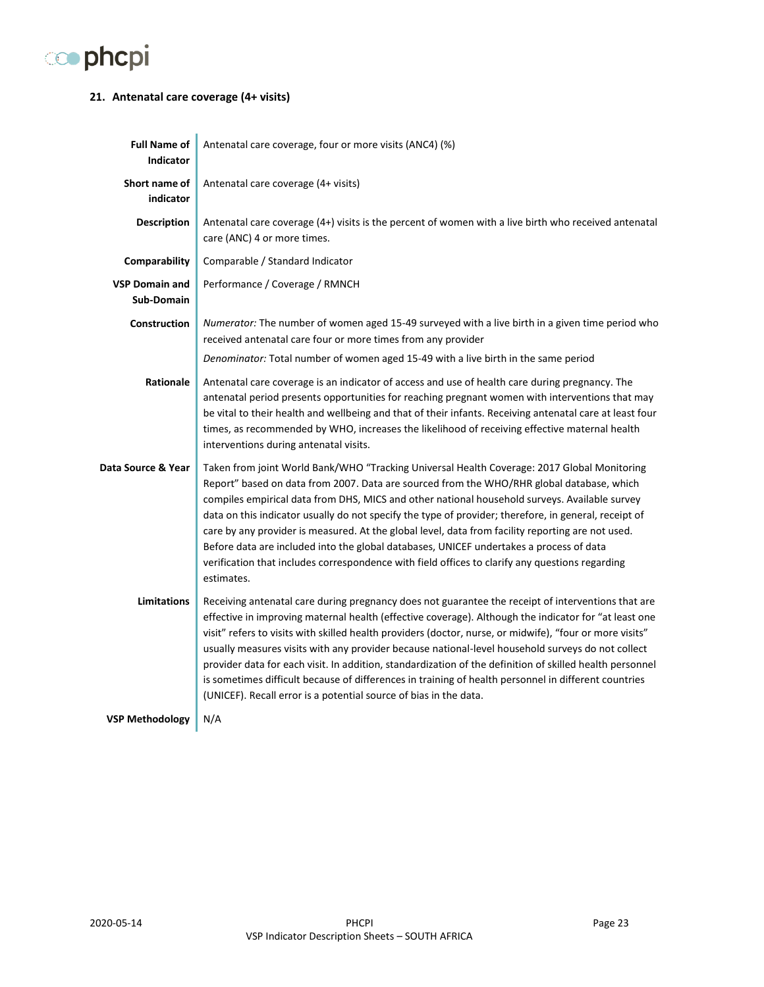

#### <span id="page-22-0"></span>**21. Antenatal care coverage (4+ visits)**

| <b>Full Name of</b><br><b>Indicator</b> | Antenatal care coverage, four or more visits (ANC4) (%)                                                                                                                                                                                                                                                                                                                                                                                                                                                                                                                                                                                                                                                               |
|-----------------------------------------|-----------------------------------------------------------------------------------------------------------------------------------------------------------------------------------------------------------------------------------------------------------------------------------------------------------------------------------------------------------------------------------------------------------------------------------------------------------------------------------------------------------------------------------------------------------------------------------------------------------------------------------------------------------------------------------------------------------------------|
| Short name of<br>indicator              | Antenatal care coverage (4+ visits)                                                                                                                                                                                                                                                                                                                                                                                                                                                                                                                                                                                                                                                                                   |
| <b>Description</b>                      | Antenatal care coverage (4+) visits is the percent of women with a live birth who received antenatal<br>care (ANC) 4 or more times.                                                                                                                                                                                                                                                                                                                                                                                                                                                                                                                                                                                   |
| Comparability                           | Comparable / Standard Indicator                                                                                                                                                                                                                                                                                                                                                                                                                                                                                                                                                                                                                                                                                       |
| <b>VSP Domain and</b><br>Sub-Domain     | Performance / Coverage / RMNCH                                                                                                                                                                                                                                                                                                                                                                                                                                                                                                                                                                                                                                                                                        |
| <b>Construction</b>                     | Numerator: The number of women aged 15-49 surveyed with a live birth in a given time period who<br>received antenatal care four or more times from any provider                                                                                                                                                                                                                                                                                                                                                                                                                                                                                                                                                       |
|                                         | Denominator: Total number of women aged 15-49 with a live birth in the same period                                                                                                                                                                                                                                                                                                                                                                                                                                                                                                                                                                                                                                    |
| <b>Rationale</b>                        | Antenatal care coverage is an indicator of access and use of health care during pregnancy. The<br>antenatal period presents opportunities for reaching pregnant women with interventions that may<br>be vital to their health and wellbeing and that of their infants. Receiving antenatal care at least four<br>times, as recommended by WHO, increases the likelihood of receiving effective maternal health<br>interventions during antenatal visits.                                                                                                                                                                                                                                                              |
| Data Source & Year                      | Taken from joint World Bank/WHO "Tracking Universal Health Coverage: 2017 Global Monitoring<br>Report" based on data from 2007. Data are sourced from the WHO/RHR global database, which<br>compiles empirical data from DHS, MICS and other national household surveys. Available survey<br>data on this indicator usually do not specify the type of provider; therefore, in general, receipt of<br>care by any provider is measured. At the global level, data from facility reporting are not used.<br>Before data are included into the global databases, UNICEF undertakes a process of data<br>verification that includes correspondence with field offices to clarify any questions regarding<br>estimates.   |
| <b>Limitations</b>                      | Receiving antenatal care during pregnancy does not guarantee the receipt of interventions that are<br>effective in improving maternal health (effective coverage). Although the indicator for "at least one<br>visit" refers to visits with skilled health providers (doctor, nurse, or midwife), "four or more visits"<br>usually measures visits with any provider because national-level household surveys do not collect<br>provider data for each visit. In addition, standardization of the definition of skilled health personnel<br>is sometimes difficult because of differences in training of health personnel in different countries<br>(UNICEF). Recall error is a potential source of bias in the data. |
| <b>VSP Methodology</b>                  | N/A                                                                                                                                                                                                                                                                                                                                                                                                                                                                                                                                                                                                                                                                                                                   |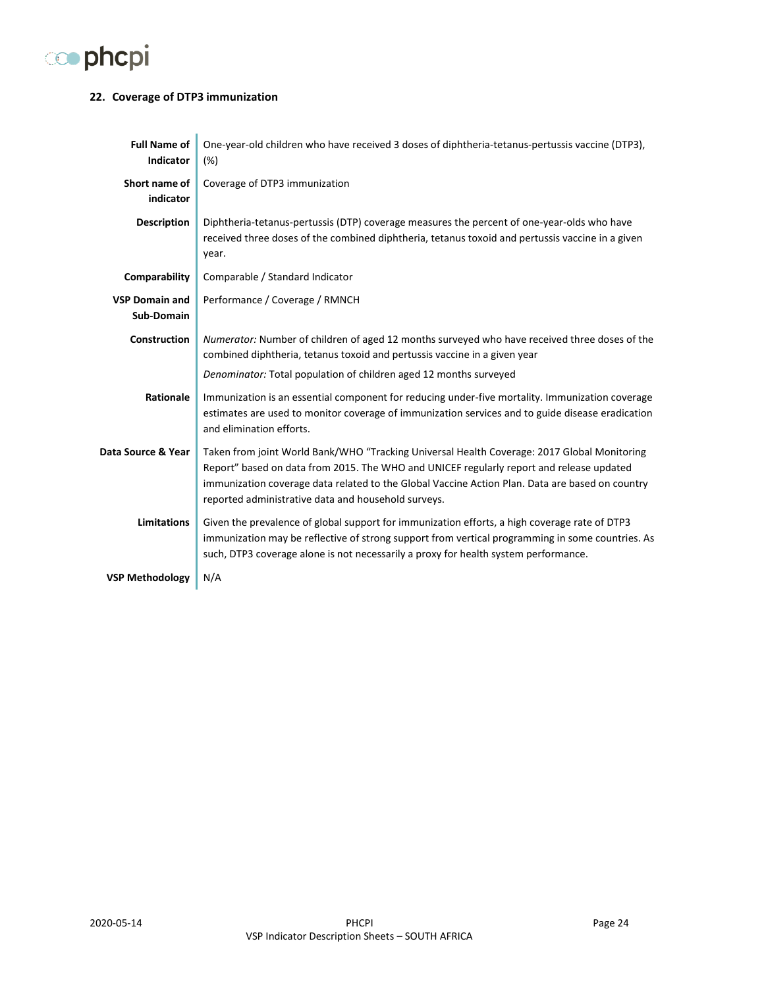

#### <span id="page-23-0"></span>**22. Coverage of DTP3 immunization**

| <b>Full Name of</b><br><b>Indicator</b> | One-year-old children who have received 3 doses of diphtheria-tetanus-pertussis vaccine (DTP3),<br>(%)                                                                                                                                                                                                                                            |
|-----------------------------------------|---------------------------------------------------------------------------------------------------------------------------------------------------------------------------------------------------------------------------------------------------------------------------------------------------------------------------------------------------|
| Short name of<br>indicator              | Coverage of DTP3 immunization                                                                                                                                                                                                                                                                                                                     |
| <b>Description</b>                      | Diphtheria-tetanus-pertussis (DTP) coverage measures the percent of one-year-olds who have<br>received three doses of the combined diphtheria, tetanus toxoid and pertussis vaccine in a given<br>year.                                                                                                                                           |
| Comparability                           | Comparable / Standard Indicator                                                                                                                                                                                                                                                                                                                   |
| <b>VSP Domain and</b><br>Sub-Domain     | Performance / Coverage / RMNCH                                                                                                                                                                                                                                                                                                                    |
| <b>Construction</b>                     | Numerator: Number of children of aged 12 months surveyed who have received three doses of the<br>combined diphtheria, tetanus toxoid and pertussis vaccine in a given year                                                                                                                                                                        |
|                                         | Denominator: Total population of children aged 12 months surveyed                                                                                                                                                                                                                                                                                 |
| Rationale                               | Immunization is an essential component for reducing under-five mortality. Immunization coverage<br>estimates are used to monitor coverage of immunization services and to guide disease eradication<br>and elimination efforts.                                                                                                                   |
| Data Source & Year                      | Taken from joint World Bank/WHO "Tracking Universal Health Coverage: 2017 Global Monitoring<br>Report" based on data from 2015. The WHO and UNICEF regularly report and release updated<br>immunization coverage data related to the Global Vaccine Action Plan. Data are based on country<br>reported administrative data and household surveys. |
| <b>Limitations</b>                      | Given the prevalence of global support for immunization efforts, a high coverage rate of DTP3<br>immunization may be reflective of strong support from vertical programming in some countries. As<br>such, DTP3 coverage alone is not necessarily a proxy for health system performance.                                                          |
| <b>VSP Methodology</b>                  | N/A                                                                                                                                                                                                                                                                                                                                               |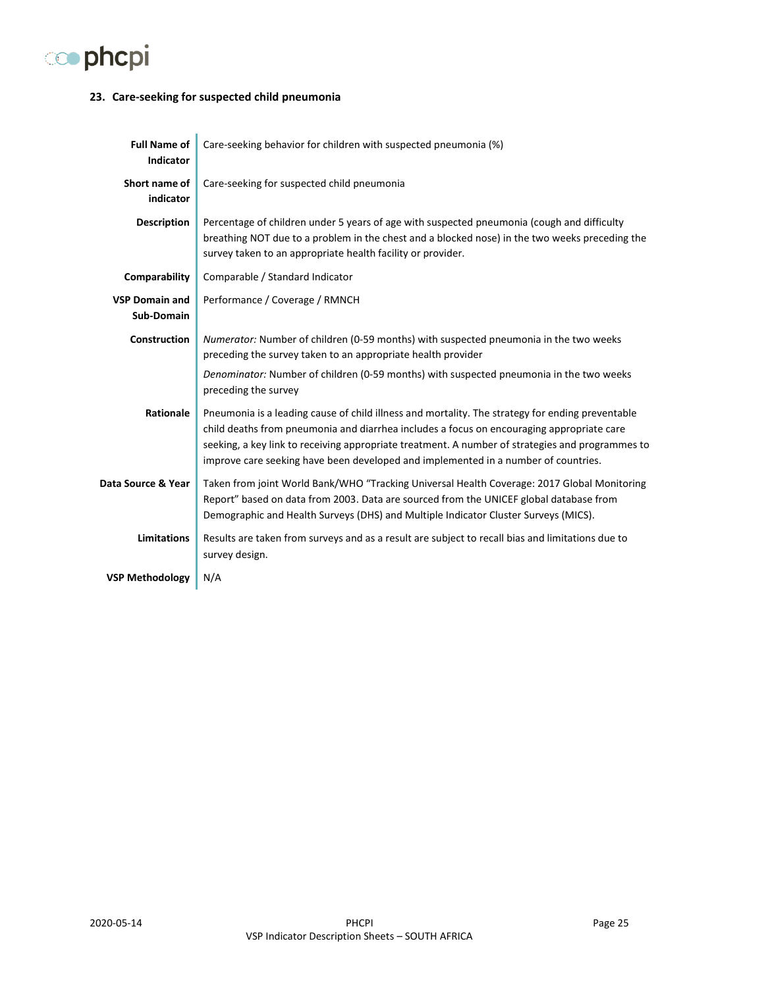

#### <span id="page-24-0"></span>**23. Care-seeking for suspected child pneumonia**

| <b>Full Name of</b><br><b>Indicator</b> | Care-seeking behavior for children with suspected pneumonia (%)                                                                                                                                                                                                                                                                                                                         |
|-----------------------------------------|-----------------------------------------------------------------------------------------------------------------------------------------------------------------------------------------------------------------------------------------------------------------------------------------------------------------------------------------------------------------------------------------|
| Short name of<br>indicator              | Care-seeking for suspected child pneumonia                                                                                                                                                                                                                                                                                                                                              |
| <b>Description</b>                      | Percentage of children under 5 years of age with suspected pneumonia (cough and difficulty<br>breathing NOT due to a problem in the chest and a blocked nose) in the two weeks preceding the<br>survey taken to an appropriate health facility or provider.                                                                                                                             |
| Comparability                           | Comparable / Standard Indicator                                                                                                                                                                                                                                                                                                                                                         |
| <b>VSP Domain and</b><br>Sub-Domain     | Performance / Coverage / RMNCH                                                                                                                                                                                                                                                                                                                                                          |
| Construction                            | Numerator: Number of children (0-59 months) with suspected pneumonia in the two weeks<br>preceding the survey taken to an appropriate health provider                                                                                                                                                                                                                                   |
|                                         | Denominator: Number of children (0-59 months) with suspected pneumonia in the two weeks<br>preceding the survey                                                                                                                                                                                                                                                                         |
| Rationale                               | Pneumonia is a leading cause of child illness and mortality. The strategy for ending preventable<br>child deaths from pneumonia and diarrhea includes a focus on encouraging appropriate care<br>seeking, a key link to receiving appropriate treatment. A number of strategies and programmes to<br>improve care seeking have been developed and implemented in a number of countries. |
| Data Source & Year                      | Taken from joint World Bank/WHO "Tracking Universal Health Coverage: 2017 Global Monitoring<br>Report" based on data from 2003. Data are sourced from the UNICEF global database from<br>Demographic and Health Surveys (DHS) and Multiple Indicator Cluster Surveys (MICS).                                                                                                            |
| <b>Limitations</b>                      | Results are taken from surveys and as a result are subject to recall bias and limitations due to<br>survey design.                                                                                                                                                                                                                                                                      |
| <b>VSP Methodology</b>                  | N/A                                                                                                                                                                                                                                                                                                                                                                                     |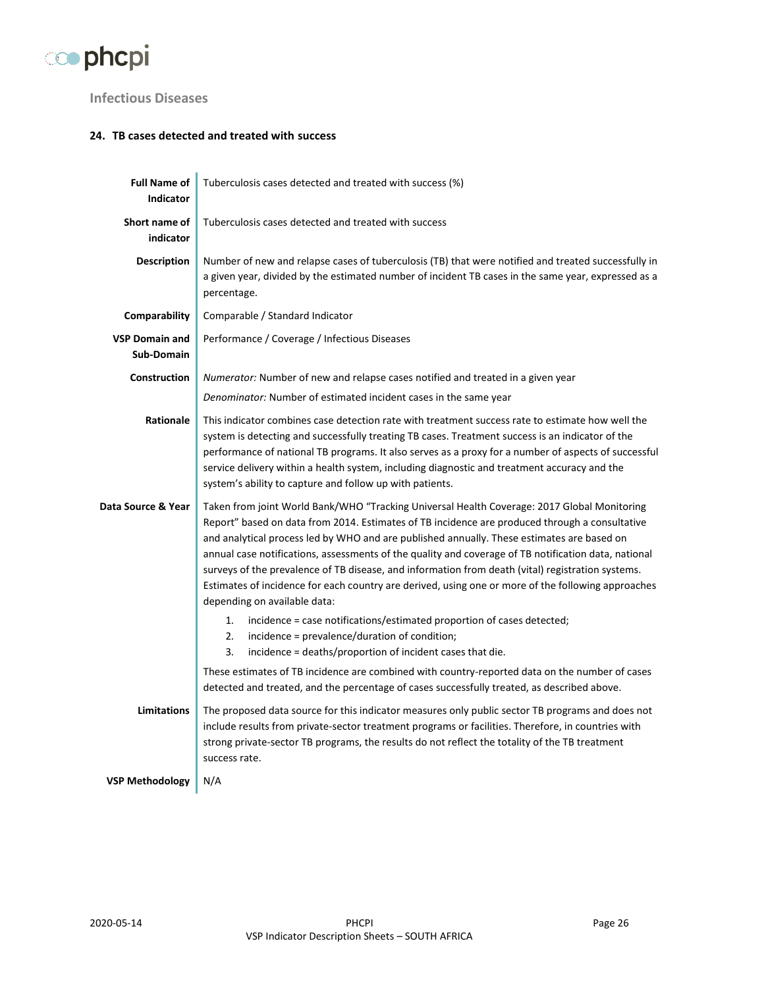

## <span id="page-25-0"></span>**Infectious Diseases**

#### <span id="page-25-1"></span>**24. TB cases detected and treated with success**

| <b>Full Name of</b><br><b>Indicator</b> | Tuberculosis cases detected and treated with success (%)                                                                                                                                                                                                                                                                                                                                                                                                                                                                                                                                                                                       |
|-----------------------------------------|------------------------------------------------------------------------------------------------------------------------------------------------------------------------------------------------------------------------------------------------------------------------------------------------------------------------------------------------------------------------------------------------------------------------------------------------------------------------------------------------------------------------------------------------------------------------------------------------------------------------------------------------|
| Short name of<br>indicator              | Tuberculosis cases detected and treated with success                                                                                                                                                                                                                                                                                                                                                                                                                                                                                                                                                                                           |
| <b>Description</b>                      | Number of new and relapse cases of tuberculosis (TB) that were notified and treated successfully in<br>a given year, divided by the estimated number of incident TB cases in the same year, expressed as a<br>percentage.                                                                                                                                                                                                                                                                                                                                                                                                                      |
| Comparability                           | Comparable / Standard Indicator                                                                                                                                                                                                                                                                                                                                                                                                                                                                                                                                                                                                                |
| <b>VSP Domain and</b><br>Sub-Domain     | Performance / Coverage / Infectious Diseases                                                                                                                                                                                                                                                                                                                                                                                                                                                                                                                                                                                                   |
| <b>Construction</b>                     | Numerator: Number of new and relapse cases notified and treated in a given year                                                                                                                                                                                                                                                                                                                                                                                                                                                                                                                                                                |
|                                         | Denominator: Number of estimated incident cases in the same year                                                                                                                                                                                                                                                                                                                                                                                                                                                                                                                                                                               |
| Rationale                               | This indicator combines case detection rate with treatment success rate to estimate how well the<br>system is detecting and successfully treating TB cases. Treatment success is an indicator of the<br>performance of national TB programs. It also serves as a proxy for a number of aspects of successful<br>service delivery within a health system, including diagnostic and treatment accuracy and the<br>system's ability to capture and follow up with patients.                                                                                                                                                                       |
| Data Source & Year                      | Taken from joint World Bank/WHO "Tracking Universal Health Coverage: 2017 Global Monitoring<br>Report" based on data from 2014. Estimates of TB incidence are produced through a consultative<br>and analytical process led by WHO and are published annually. These estimates are based on<br>annual case notifications, assessments of the quality and coverage of TB notification data, national<br>surveys of the prevalence of TB disease, and information from death (vital) registration systems.<br>Estimates of incidence for each country are derived, using one or more of the following approaches<br>depending on available data: |
|                                         | 1.<br>incidence = case notifications/estimated proportion of cases detected;<br>2.<br>incidence = prevalence/duration of condition;<br>3.<br>incidence = deaths/proportion of incident cases that die.                                                                                                                                                                                                                                                                                                                                                                                                                                         |
|                                         | These estimates of TB incidence are combined with country-reported data on the number of cases<br>detected and treated, and the percentage of cases successfully treated, as described above.                                                                                                                                                                                                                                                                                                                                                                                                                                                  |
| <b>Limitations</b>                      | The proposed data source for this indicator measures only public sector TB programs and does not<br>include results from private-sector treatment programs or facilities. Therefore, in countries with<br>strong private-sector TB programs, the results do not reflect the totality of the TB treatment<br>success rate.                                                                                                                                                                                                                                                                                                                      |
| <b>VSP Methodology</b>                  | N/A                                                                                                                                                                                                                                                                                                                                                                                                                                                                                                                                                                                                                                            |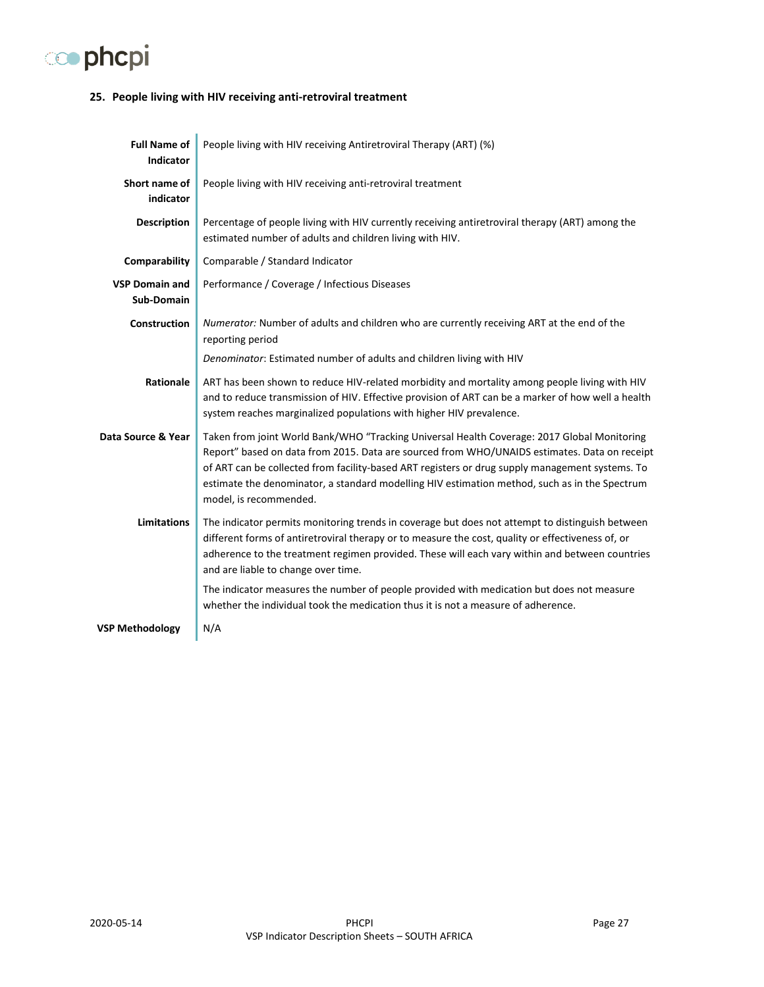

#### <span id="page-26-0"></span>**25. People living with HIV receiving anti-retroviral treatment**

| <b>Full Name of</b><br><b>Indicator</b> | People living with HIV receiving Antiretroviral Therapy (ART) (%)                                                                                                                                                                                                                                                                                                                                                         |
|-----------------------------------------|---------------------------------------------------------------------------------------------------------------------------------------------------------------------------------------------------------------------------------------------------------------------------------------------------------------------------------------------------------------------------------------------------------------------------|
| Short name of<br>indicator              | People living with HIV receiving anti-retroviral treatment                                                                                                                                                                                                                                                                                                                                                                |
| <b>Description</b>                      | Percentage of people living with HIV currently receiving antiretroviral therapy (ART) among the<br>estimated number of adults and children living with HIV.                                                                                                                                                                                                                                                               |
| Comparability                           | Comparable / Standard Indicator                                                                                                                                                                                                                                                                                                                                                                                           |
| <b>VSP Domain and</b><br>Sub-Domain     | Performance / Coverage / Infectious Diseases                                                                                                                                                                                                                                                                                                                                                                              |
| Construction                            | Numerator: Number of adults and children who are currently receiving ART at the end of the<br>reporting period                                                                                                                                                                                                                                                                                                            |
|                                         | Denominator: Estimated number of adults and children living with HIV                                                                                                                                                                                                                                                                                                                                                      |
| Rationale                               | ART has been shown to reduce HIV-related morbidity and mortality among people living with HIV<br>and to reduce transmission of HIV. Effective provision of ART can be a marker of how well a health<br>system reaches marginalized populations with higher HIV prevalence.                                                                                                                                                |
| Data Source & Year                      | Taken from joint World Bank/WHO "Tracking Universal Health Coverage: 2017 Global Monitoring<br>Report" based on data from 2015. Data are sourced from WHO/UNAIDS estimates. Data on receipt<br>of ART can be collected from facility-based ART registers or drug supply management systems. To<br>estimate the denominator, a standard modelling HIV estimation method, such as in the Spectrum<br>model, is recommended. |
| <b>Limitations</b>                      | The indicator permits monitoring trends in coverage but does not attempt to distinguish between<br>different forms of antiretroviral therapy or to measure the cost, quality or effectiveness of, or<br>adherence to the treatment regimen provided. These will each vary within and between countries<br>and are liable to change over time.                                                                             |
|                                         | The indicator measures the number of people provided with medication but does not measure<br>whether the individual took the medication thus it is not a measure of adherence.                                                                                                                                                                                                                                            |
| <b>VSP Methodology</b>                  | N/A                                                                                                                                                                                                                                                                                                                                                                                                                       |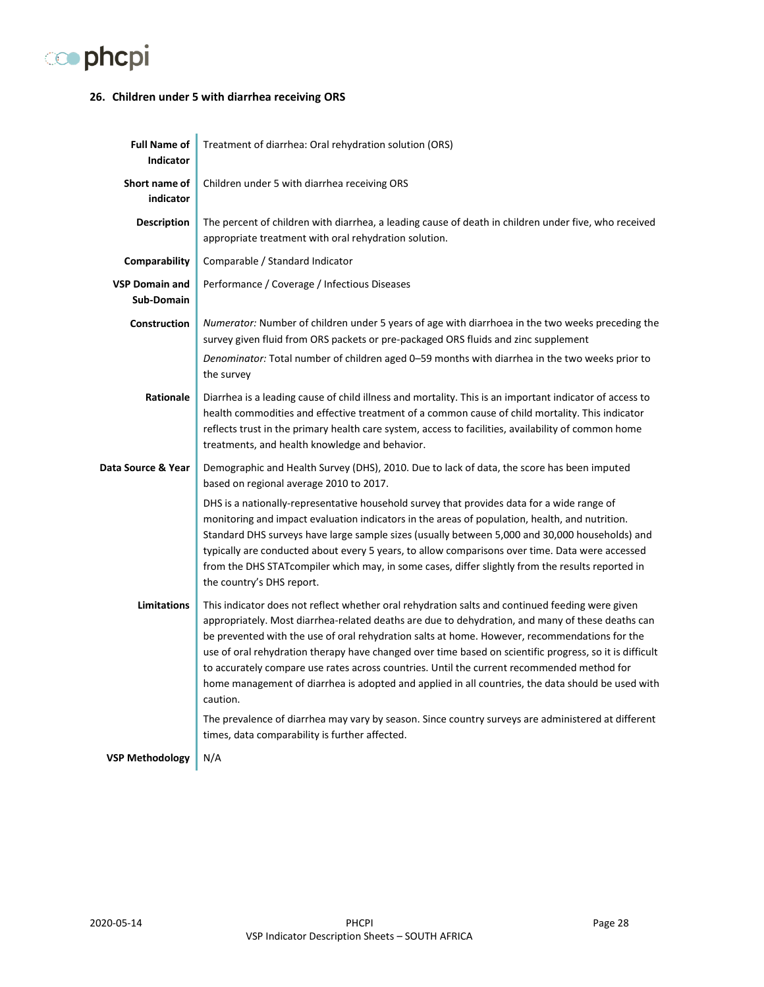

#### <span id="page-27-0"></span>**26. Children under 5 with diarrhea receiving ORS**

| <b>Full Name of</b><br><b>Indicator</b> | Treatment of diarrhea: Oral rehydration solution (ORS)                                                                                                                                                                                                                                                                                                                                                                                                                                                                                                                                                                         |
|-----------------------------------------|--------------------------------------------------------------------------------------------------------------------------------------------------------------------------------------------------------------------------------------------------------------------------------------------------------------------------------------------------------------------------------------------------------------------------------------------------------------------------------------------------------------------------------------------------------------------------------------------------------------------------------|
| Short name of<br>indicator              | Children under 5 with diarrhea receiving ORS                                                                                                                                                                                                                                                                                                                                                                                                                                                                                                                                                                                   |
| <b>Description</b>                      | The percent of children with diarrhea, a leading cause of death in children under five, who received<br>appropriate treatment with oral rehydration solution.                                                                                                                                                                                                                                                                                                                                                                                                                                                                  |
| Comparability                           | Comparable / Standard Indicator                                                                                                                                                                                                                                                                                                                                                                                                                                                                                                                                                                                                |
| <b>VSP Domain and</b><br>Sub-Domain     | Performance / Coverage / Infectious Diseases                                                                                                                                                                                                                                                                                                                                                                                                                                                                                                                                                                                   |
| <b>Construction</b>                     | Numerator: Number of children under 5 years of age with diarrhoea in the two weeks preceding the<br>survey given fluid from ORS packets or pre-packaged ORS fluids and zinc supplement                                                                                                                                                                                                                                                                                                                                                                                                                                         |
|                                         | Denominator: Total number of children aged 0-59 months with diarrhea in the two weeks prior to<br>the survey                                                                                                                                                                                                                                                                                                                                                                                                                                                                                                                   |
| Rationale                               | Diarrhea is a leading cause of child illness and mortality. This is an important indicator of access to<br>health commodities and effective treatment of a common cause of child mortality. This indicator<br>reflects trust in the primary health care system, access to facilities, availability of common home<br>treatments, and health knowledge and behavior.                                                                                                                                                                                                                                                            |
| Data Source & Year                      | Demographic and Health Survey (DHS), 2010. Due to lack of data, the score has been imputed<br>based on regional average 2010 to 2017.                                                                                                                                                                                                                                                                                                                                                                                                                                                                                          |
|                                         | DHS is a nationally-representative household survey that provides data for a wide range of<br>monitoring and impact evaluation indicators in the areas of population, health, and nutrition.<br>Standard DHS surveys have large sample sizes (usually between 5,000 and 30,000 households) and<br>typically are conducted about every 5 years, to allow comparisons over time. Data were accessed<br>from the DHS STATcompiler which may, in some cases, differ slightly from the results reported in<br>the country's DHS report.                                                                                             |
| <b>Limitations</b>                      | This indicator does not reflect whether oral rehydration salts and continued feeding were given<br>appropriately. Most diarrhea-related deaths are due to dehydration, and many of these deaths can<br>be prevented with the use of oral rehydration salts at home. However, recommendations for the<br>use of oral rehydration therapy have changed over time based on scientific progress, so it is difficult<br>to accurately compare use rates across countries. Until the current recommended method for<br>home management of diarrhea is adopted and applied in all countries, the data should be used with<br>caution. |
|                                         | The prevalence of diarrhea may vary by season. Since country surveys are administered at different<br>times, data comparability is further affected.                                                                                                                                                                                                                                                                                                                                                                                                                                                                           |
| <b>VSP Methodology</b>                  | N/A                                                                                                                                                                                                                                                                                                                                                                                                                                                                                                                                                                                                                            |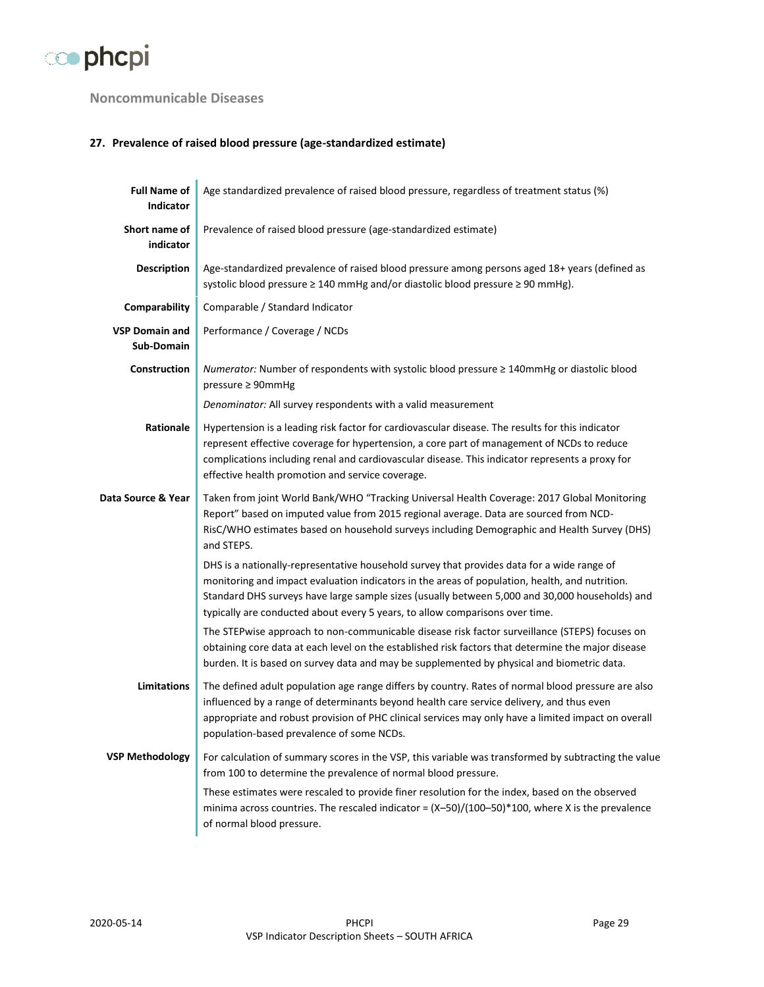

## <span id="page-28-0"></span>**Noncommunicable Diseases**

## <span id="page-28-1"></span>**27. Prevalence of raised blood pressure (age-standardized estimate)**

| <b>Full Name of</b><br>Indicator    | Age standardized prevalence of raised blood pressure, regardless of treatment status (%)                                                                                                                                                                                                                                                                                       |
|-------------------------------------|--------------------------------------------------------------------------------------------------------------------------------------------------------------------------------------------------------------------------------------------------------------------------------------------------------------------------------------------------------------------------------|
| Short name of<br>indicator          | Prevalence of raised blood pressure (age-standardized estimate)                                                                                                                                                                                                                                                                                                                |
| <b>Description</b>                  | Age-standardized prevalence of raised blood pressure among persons aged 18+ years (defined as<br>systolic blood pressure ≥ 140 mmHg and/or diastolic blood pressure ≥ 90 mmHg).                                                                                                                                                                                                |
| Comparability                       | Comparable / Standard Indicator                                                                                                                                                                                                                                                                                                                                                |
| <b>VSP Domain and</b><br>Sub-Domain | Performance / Coverage / NCDs                                                                                                                                                                                                                                                                                                                                                  |
| Construction                        | Numerator: Number of respondents with systolic blood pressure ≥ 140mmHg or diastolic blood<br>pressure ≥ 90mmHg                                                                                                                                                                                                                                                                |
|                                     | Denominator: All survey respondents with a valid measurement                                                                                                                                                                                                                                                                                                                   |
| Rationale                           | Hypertension is a leading risk factor for cardiovascular disease. The results for this indicator<br>represent effective coverage for hypertension, a core part of management of NCDs to reduce<br>complications including renal and cardiovascular disease. This indicator represents a proxy for<br>effective health promotion and service coverage.                          |
| Data Source & Year                  | Taken from joint World Bank/WHO "Tracking Universal Health Coverage: 2017 Global Monitoring<br>Report" based on imputed value from 2015 regional average. Data are sourced from NCD-<br>RisC/WHO estimates based on household surveys including Demographic and Health Survey (DHS)<br>and STEPS.                                                                              |
|                                     | DHS is a nationally-representative household survey that provides data for a wide range of<br>monitoring and impact evaluation indicators in the areas of population, health, and nutrition.<br>Standard DHS surveys have large sample sizes (usually between 5,000 and 30,000 households) and<br>typically are conducted about every 5 years, to allow comparisons over time. |
|                                     | The STEPwise approach to non-communicable disease risk factor surveillance (STEPS) focuses on<br>obtaining core data at each level on the established risk factors that determine the major disease<br>burden. It is based on survey data and may be supplemented by physical and biometric data.                                                                              |
| <b>Limitations</b>                  | The defined adult population age range differs by country. Rates of normal blood pressure are also<br>influenced by a range of determinants beyond health care service delivery, and thus even<br>appropriate and robust provision of PHC clinical services may only have a limited impact on overall<br>population-based prevalence of some NCDs.                             |
| <b>VSP Methodology</b>              | For calculation of summary scores in the VSP, this variable was transformed by subtracting the value<br>from 100 to determine the prevalence of normal blood pressure.                                                                                                                                                                                                         |
|                                     | These estimates were rescaled to provide finer resolution for the index, based on the observed<br>minima across countries. The rescaled indicator = $(X-50)/(100-50)*100$ , where X is the prevalence<br>of normal blood pressure.                                                                                                                                             |